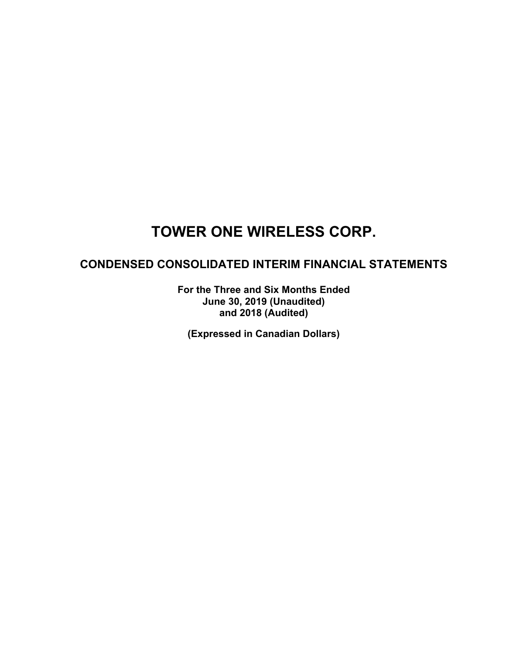### **CONDENSED CONSOLIDATED INTERIM FINANCIAL STATEMENTS**

**For the Three and Six Months Ended June 30, 2019 (Unaudited) and 2018 (Audited)**

**(Expressed in Canadian Dollars)**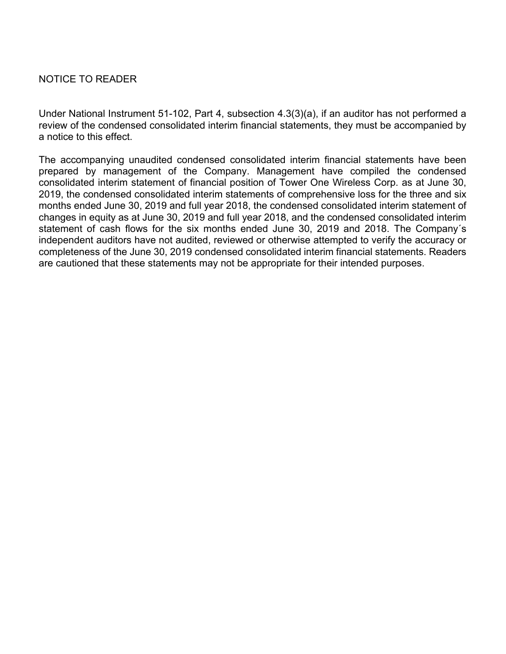### NOTICE TO READER

Under National Instrument 51-102, Part 4, subsection 4.3(3)(a), if an auditor has not performed a review of the condensed consolidated interim financial statements, they must be accompanied by a notice to this effect.

The accompanying unaudited condensed consolidated interim financial statements have been prepared by management of the Company. Management have compiled the condensed consolidated interim statement of financial position of Tower One Wireless Corp. as at June 30, 2019, the condensed consolidated interim statements of comprehensive loss for the three and six months ended June 30, 2019 and full year 2018, the condensed consolidated interim statement of changes in equity as at June 30, 2019 and full year 2018, and the condensed consolidated interim statement of cash flows for the six months ended June 30, 2019 and 2018. The Company´s independent auditors have not audited, reviewed or otherwise attempted to verify the accuracy or completeness of the June 30, 2019 condensed consolidated interim financial statements. Readers are cautioned that these statements may not be appropriate for their intended purposes.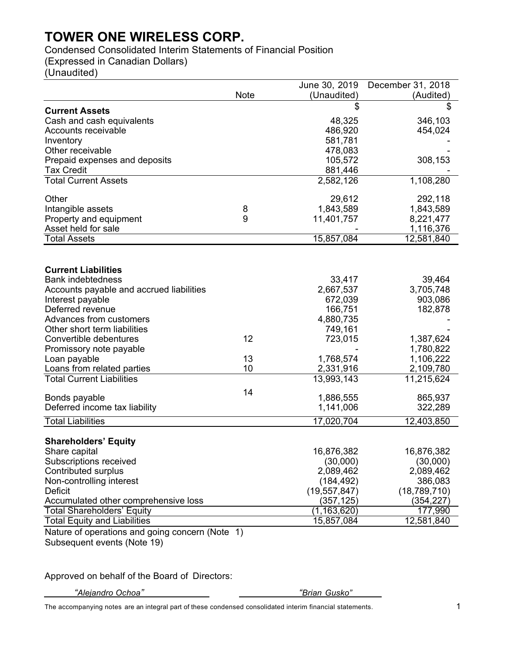Condensed Consolidated Interim Statements of Financial Position

(Expressed in Canadian Dollars)

(Unaudited)

|                                                 |             | June 30, 2019      | December 31, 2018 |
|-------------------------------------------------|-------------|--------------------|-------------------|
|                                                 | <b>Note</b> | (Unaudited)        | (Audited)         |
| <b>Current Assets</b>                           |             |                    | \$                |
| Cash and cash equivalents                       |             | 48,325             | 346,103           |
| Accounts receivable                             |             | 486,920            | 454,024           |
| Inventory                                       |             | 581,781            |                   |
| Other receivable                                |             | 478,083            |                   |
| Prepaid expenses and deposits                   |             | 105,572            | 308,153           |
| <b>Tax Credit</b>                               |             | 881,446            |                   |
| <b>Total Current Assets</b>                     |             | 2,582,126          | 1,108,280         |
|                                                 |             |                    |                   |
| Other                                           |             | 29,612             | 292,118           |
| Intangible assets                               | 8           | 1,843,589          | 1,843,589         |
| Property and equipment                          | 9           | 11,401,757         | 8,221,477         |
| Asset held for sale                             |             |                    | 1,116,376         |
| <b>Total Assets</b>                             |             | 15,857,084         | 12,581,840        |
|                                                 |             |                    |                   |
|                                                 |             |                    |                   |
| <b>Current Liabilities</b>                      |             |                    |                   |
| <b>Bank indebtedness</b>                        |             | 33,417             | 39,464            |
| Accounts payable and accrued liabilities        |             | 2,667,537          | 3,705,748         |
| Interest payable<br>Deferred revenue            |             | 672,039            | 903,086           |
| Advances from customers                         |             | 166,751            | 182,878           |
| Other short term liabilities                    |             | 4,880,735          |                   |
| Convertible debentures                          | 12          | 749,161<br>723,015 | 1,387,624         |
|                                                 |             |                    | 1,780,822         |
| Promissory note payable<br>Loan payable         | 13          | 1,768,574          | 1,106,222         |
| Loans from related parties                      | 10          | 2,331,916          | 2,109,780         |
| <b>Total Current Liabilities</b>                |             | 13,993,143         | 11,215,624        |
|                                                 |             |                    |                   |
| Bonds payable                                   | 14          | 1,886,555          | 865,937           |
| Deferred income tax liability                   |             | 1,141,006          | 322,289           |
| <b>Total Liabilities</b>                        |             | 17,020,704         | 12,403,850        |
|                                                 |             |                    |                   |
| <b>Shareholders' Equity</b>                     |             |                    |                   |
| Share capital                                   |             | 16,876,382         | 16,876,382        |
| Subscriptions received                          |             | (30,000)           | (30,000)          |
| <b>Contributed surplus</b>                      |             | 2,089,462          | 2,089,462         |
| Non-controlling interest                        |             | (184, 492)         | 386,083           |
| <b>Deficit</b>                                  |             | (19, 557, 847)     | (18, 789, 710)    |
| Accumulated other comprehensive loss            |             | (357, 125)         | (354, 227)        |
| <b>Total Shareholders' Equity</b>               |             | (1, 163, 620)      | 177,990           |
| <b>Total Equity and Liabilities</b>             |             | 15,857,084         | 12,581,840        |
| Nature of operations and going concern (Note 1) |             |                    |                   |

Subsequent events (Note 19)

Approved on behalf of the Board of Directors:

*"Alejandro Ochoa" "Brian Gusko"*

The accompanying notes are an integral part of these condensed consolidated interim financial statements. 1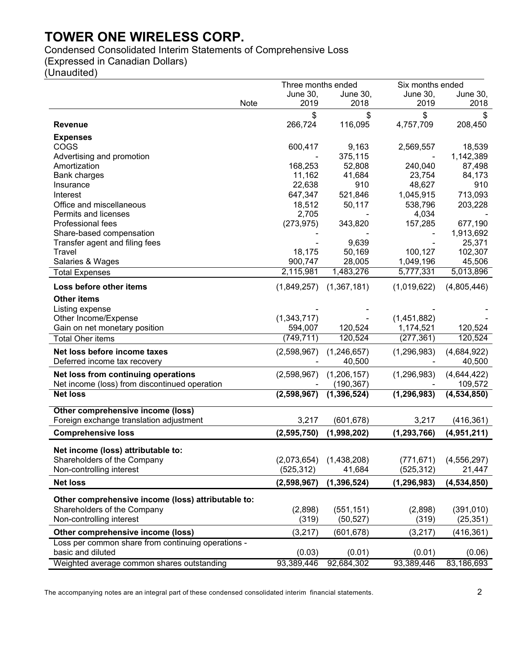Condensed Consolidated Interim Statements of Comprehensive Loss

(Expressed in Canadian Dollars)

(Unaudited)

| <b>June 30,</b><br><b>June 30,</b><br><b>June 30,</b><br><b>June 30,</b><br>2019<br>2018<br>2019<br>Note<br>2018<br>\$<br>\$<br>\$<br>\$<br>4,757,709<br>208,450<br>266,724<br>116,095<br>Revenue<br><b>Expenses</b> |
|----------------------------------------------------------------------------------------------------------------------------------------------------------------------------------------------------------------------|
|                                                                                                                                                                                                                      |
|                                                                                                                                                                                                                      |
|                                                                                                                                                                                                                      |
|                                                                                                                                                                                                                      |
|                                                                                                                                                                                                                      |
| COGS<br>600,417<br>9,163<br>2,569,557<br>18,539                                                                                                                                                                      |
| 375,115<br>1,142,389<br>Advertising and promotion<br>87,498<br>Amortization<br>168,253<br>52,808<br>240,040                                                                                                          |
| Bank charges<br>11,162<br>41,684<br>23,754<br>84,173                                                                                                                                                                 |
| 22,638<br>910<br>48,627<br>910<br>Insurance                                                                                                                                                                          |
| 647,347<br>521,846<br>1,045,915<br>713,093<br>Interest                                                                                                                                                               |
| 18,512<br>538,796<br>203,228<br>Office and miscellaneous<br>50,117                                                                                                                                                   |
| 2,705<br>Permits and licenses<br>4,034                                                                                                                                                                               |
| Professional fees<br>(273, 975)<br>343,820<br>157,285<br>677,190                                                                                                                                                     |
| Share-based compensation<br>1,913,692                                                                                                                                                                                |
| 25,371<br>Transfer agent and filing fees<br>9,639                                                                                                                                                                    |
| Travel<br>18,175<br>50,169<br>100,127<br>102,307                                                                                                                                                                     |
| 900,747<br>28,005<br>1,049,196<br>Salaries & Wages<br>45,506                                                                                                                                                         |
| 2,115,981<br>1,483,276<br>5,777,331<br>5,013,896<br><b>Total Expenses</b>                                                                                                                                            |
| Loss before other items<br>(4,805,446)<br>(1,849,257)<br>(1,367,181)<br>(1,019,622)                                                                                                                                  |
| <b>Other items</b>                                                                                                                                                                                                   |
| Listing expense                                                                                                                                                                                                      |
| (1,343,717)<br>(1,451,882)<br>Other Income/Expense                                                                                                                                                                   |
| Gain on net monetary position<br>594,007<br>120,524<br>1,174,521<br>120,524                                                                                                                                          |
| (749, 711)<br>(277, 361)<br>120,524<br>120,524<br><b>Total Oher items</b>                                                                                                                                            |
| Net loss before income taxes<br>(2,598,967)<br>(1, 246, 657)<br>(1, 296, 983)<br>(4,684,922)                                                                                                                         |
| Deferred income tax recovery<br>40,500<br>40,500                                                                                                                                                                     |
| Net loss from continuing operations<br>(2,598,967)<br>(1,206,157)<br>(1, 296, 983)<br>(4,644,422)                                                                                                                    |
| Net income (loss) from discontinued operation<br>(190, 367)<br>109,572                                                                                                                                               |
| (1, 296, 983)<br>(4, 534, 850)<br><b>Net loss</b><br>(2,598,967)<br>(1, 396, 524)                                                                                                                                    |
| Other comprehensive income (loss)                                                                                                                                                                                    |
| Foreign exchange translation adjustment<br>3,217<br>3,217<br>(416, 361)<br>(601, 678)                                                                                                                                |
| (2, 595, 750)<br><b>Comprehensive loss</b><br>(1,998,202)<br>(1, 293, 766)<br>(4,951,211)                                                                                                                            |
| Net income (loss) attributable to:                                                                                                                                                                                   |
| Shareholders of the Company<br>(2,073,654)<br>(1,438,208)<br>(771, 671)<br>(4, 556, 297)                                                                                                                             |
| Non-controlling interest<br>(525, 312)<br>41,684<br>(525, 312)<br>21,447                                                                                                                                             |
| <b>Net loss</b><br>(4, 534, 850)<br>(2,598,967)<br>(1, 396, 524)<br>(1, 296, 983)                                                                                                                                    |
| Other comprehensive income (loss) attributable to:                                                                                                                                                                   |
| Shareholders of the Company                                                                                                                                                                                          |
| (2,898)<br>(2,898)<br>(551, 151)<br>(391,010)<br>Non-controlling interest<br>(319)<br>(50, 527)<br>(319)<br>(25, 351)                                                                                                |
|                                                                                                                                                                                                                      |
| Other comprehensive income (loss)<br>(3,217)<br>(601, 678)<br>(416, 361)<br>(3,217)                                                                                                                                  |
| Loss per common share from continuing operations -<br>basic and diluted<br>(0.03)<br>(0.01)<br>(0.01)<br>(0.06)                                                                                                      |
| 92,684,302<br>93,389,446<br>93,389,446<br>83,186,693<br>Weighted average common shares outstanding                                                                                                                   |

The accompanying notes are an integral part of these condensed consolidated interim financial statements. 2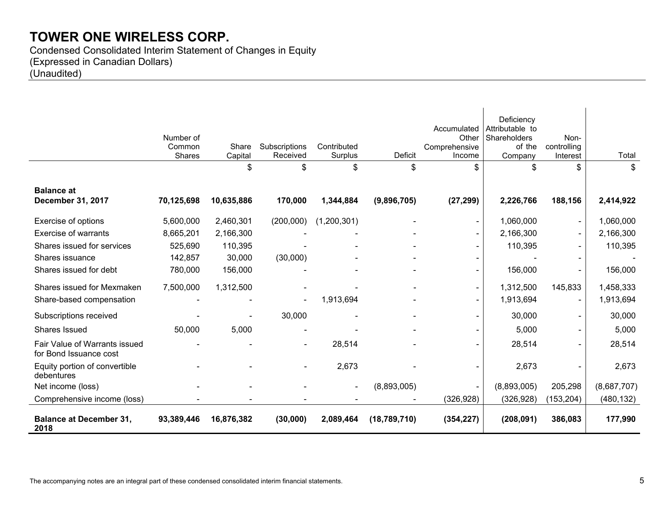Condensed Consolidated Interim Statement of Changes in Equity (Expressed in Canadian Dollars) (Unaudited)

|                                                                | Number of<br>Common<br>Shares | Share<br>Capital | Subscriptions<br>Received | Contributed<br>Surplus | Deficit        | Accumulated<br>Other<br>Comprehensive<br>Income | Deficiency<br>Attributable to<br><b>Shareholders</b><br>of the<br>Company | Non-<br>controlling<br>Interest | Total       |
|----------------------------------------------------------------|-------------------------------|------------------|---------------------------|------------------------|----------------|-------------------------------------------------|---------------------------------------------------------------------------|---------------------------------|-------------|
|                                                                |                               | \$               | \$                        | \$                     | \$             | \$                                              | \$                                                                        | \$                              | \$          |
| <b>Balance at</b><br><b>December 31, 2017</b>                  | 70,125,698                    | 10,635,886       | 170,000                   | 1,344,884              | (9,896,705)    | (27, 299)                                       | 2,226,766                                                                 | 188,156                         | 2,414,922   |
| Exercise of options                                            | 5,600,000                     | 2,460,301        | (200,000)                 | (1,200,301)            |                |                                                 | 1,060,000                                                                 |                                 | 1,060,000   |
| <b>Exercise of warrants</b>                                    | 8,665,201                     | 2,166,300        |                           |                        |                |                                                 | 2,166,300                                                                 |                                 | 2,166,300   |
| Shares issued for services                                     | 525,690                       | 110,395          |                           |                        |                |                                                 | 110,395                                                                   |                                 | 110,395     |
| Shares issuance                                                | 142,857                       | 30,000           | (30,000)                  |                        |                |                                                 |                                                                           |                                 |             |
| Shares issued for debt                                         | 780,000                       | 156,000          |                           |                        |                |                                                 | 156,000                                                                   |                                 | 156,000     |
| Shares issued for Mexmaken                                     | 7,500,000                     | 1,312,500        |                           |                        |                |                                                 | 1,312,500                                                                 | 145,833                         | 1,458,333   |
| Share-based compensation                                       |                               |                  |                           | 1,913,694              |                |                                                 | 1,913,694                                                                 |                                 | 1,913,694   |
| Subscriptions received                                         |                               |                  | 30,000                    |                        |                |                                                 | 30,000                                                                    |                                 | 30,000      |
| Shares Issued                                                  | 50,000                        | 5,000            |                           |                        |                |                                                 | 5,000                                                                     |                                 | 5,000       |
| <b>Fair Value of Warrants issued</b><br>for Bond Issuance cost |                               |                  | $\blacksquare$            | 28,514                 |                |                                                 | 28,514                                                                    |                                 | 28,514      |
| Equity portion of convertible<br>debentures                    |                               |                  | $\blacksquare$            | 2,673                  |                |                                                 | 2,673                                                                     |                                 | 2,673       |
| Net income (loss)                                              |                               |                  |                           |                        | (8,893,005)    |                                                 | (8,893,005)                                                               | 205,298                         | (8,687,707) |
| Comprehensive income (loss)                                    |                               |                  |                           |                        |                | (326, 928)                                      | (326, 928)                                                                | (153, 204)                      | (480, 132)  |
| <b>Balance at December 31,</b><br>2018                         | 93,389,446                    | 16,876,382       | (30,000)                  | 2,089,464              | (18, 789, 710) | (354, 227)                                      | (208, 091)                                                                | 386,083                         | 177,990     |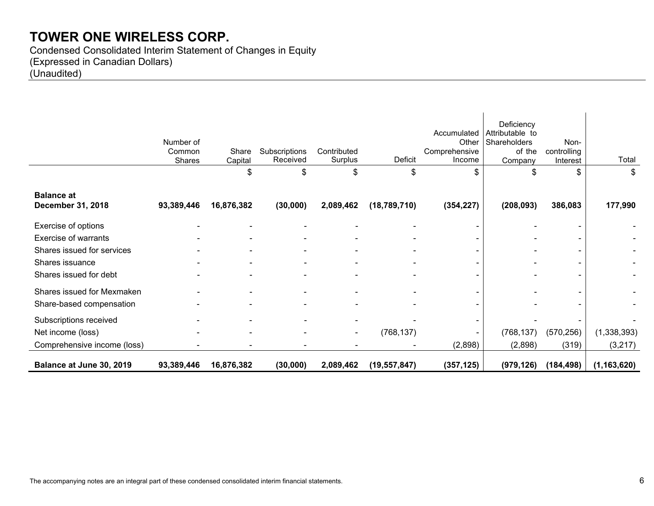Condensed Consolidated Interim Statement of Changes in Equity (Expressed in Canadian Dollars) (Unaudited)

|                                        | Number of<br>Common<br><b>Shares</b> | Share<br>Capital | Subscriptions<br>Received | Contributed<br>Surplus | Deficit        | Accumulated<br>Other<br>Comprehensive<br>Income | Deficiency<br>Attributable to<br>Shareholders<br>of the<br>Company | Non-<br>controlling<br>Interest | Total         |
|----------------------------------------|--------------------------------------|------------------|---------------------------|------------------------|----------------|-------------------------------------------------|--------------------------------------------------------------------|---------------------------------|---------------|
|                                        |                                      | \$               | \$                        | \$                     | \$             | \$                                              | \$                                                                 | \$                              | \$            |
| <b>Balance at</b><br>December 31, 2018 | 93,389,446                           | 16,876,382       | (30,000)                  | 2,089,462              | (18, 789, 710) | (354, 227)                                      | (208, 093)                                                         | 386,083                         | 177,990       |
| Exercise of options                    |                                      |                  |                           |                        |                | $\blacksquare$                                  |                                                                    |                                 |               |
| Exercise of warrants                   |                                      |                  |                           |                        |                |                                                 |                                                                    |                                 |               |
| Shares issued for services             |                                      |                  |                           |                        |                |                                                 |                                                                    |                                 |               |
| Shares issuance                        |                                      |                  |                           |                        |                |                                                 |                                                                    |                                 |               |
| Shares issued for debt                 |                                      | $\blacksquare$   |                           |                        |                |                                                 |                                                                    |                                 |               |
| Shares issued for Mexmaken             |                                      |                  |                           |                        |                |                                                 |                                                                    |                                 |               |
| Share-based compensation               |                                      |                  |                           |                        |                |                                                 |                                                                    |                                 |               |
| Subscriptions received                 |                                      |                  |                           |                        |                |                                                 |                                                                    |                                 |               |
| Net income (loss)                      |                                      |                  |                           | $\blacksquare$         | (768, 137)     | $\blacksquare$                                  | (768, 137)                                                         | (570, 256)                      | (1,338,393)   |
| Comprehensive income (loss)            |                                      |                  |                           |                        |                | (2,898)                                         | (2,898)                                                            | (319)                           | (3,217)       |
| Balance at June 30, 2019               | 93,389,446                           | 16,876,382       | (30,000)                  | 2,089,462              | (19, 557, 847) | (357, 125)                                      | (979, 126)                                                         | (184, 498)                      | (1, 163, 620) |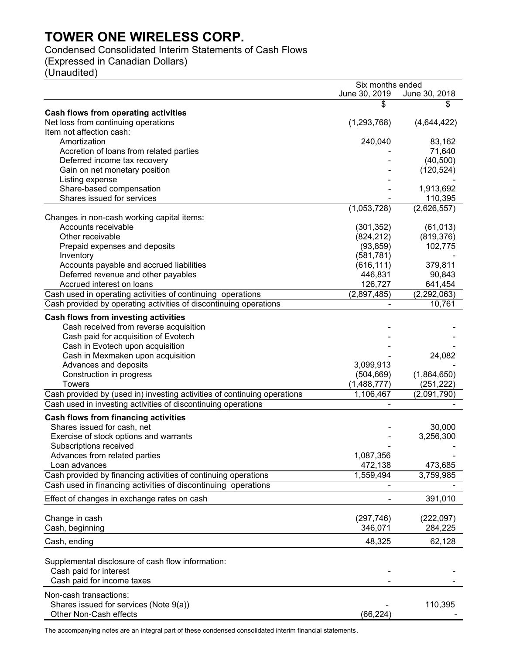Condensed Consolidated Interim Statements of Cash Flows

(Expressed in Canadian Dollars)

(Unaudited)

| Six months ended                                                         |                           |                           |  |
|--------------------------------------------------------------------------|---------------------------|---------------------------|--|
|                                                                          | June 30, 2019             | June 30, 2018<br>\$       |  |
| Cash flows from operating activities                                     |                           |                           |  |
| Net loss from continuing operations                                      | (1,293,768)               | (4,644,422)               |  |
| Item not affection cash:                                                 |                           |                           |  |
| Amortization                                                             | 240,040                   | 83,162                    |  |
| Accretion of loans from related parties                                  |                           | 71,640                    |  |
| Deferred income tax recovery                                             |                           | (40, 500)                 |  |
| Gain on net monetary position                                            |                           | (120, 524)                |  |
| Listing expense                                                          |                           | 1,913,692                 |  |
| Share-based compensation<br>Shares issued for services                   |                           | 110,395                   |  |
|                                                                          | (1,053,728)               | (2,626,557)               |  |
| Changes in non-cash working capital items:                               |                           |                           |  |
| Accounts receivable                                                      | (301, 352)                | (61, 013)                 |  |
| Other receivable                                                         | (824, 212)                | (819, 376)                |  |
| Prepaid expenses and deposits                                            | (93, 859)                 | 102,775                   |  |
| Inventory                                                                | (581, 781)                |                           |  |
| Accounts payable and accrued liabilities                                 | (616, 111)                | 379,811                   |  |
| Deferred revenue and other payables                                      | 446,831                   | 90,843                    |  |
| Accrued interest on loans                                                | 126,727                   | 641,454                   |  |
| Cash used in operating activities of continuing operations               | (2,897,485)               | (2, 292, 063)             |  |
| Cash provided by operating activities of discontinuing operations        |                           | 10,761                    |  |
| Cash flows from investing activities                                     |                           |                           |  |
| Cash received from reverse acquisition                                   |                           |                           |  |
| Cash paid for acquisition of Evotech                                     |                           |                           |  |
| Cash in Evotech upon acquisition                                         |                           |                           |  |
| Cash in Mexmaken upon acquisition                                        |                           | 24,082                    |  |
| Advances and deposits                                                    | 3,099,913                 |                           |  |
| Construction in progress<br><b>Towers</b>                                | (504, 669)<br>(1,488,777) | (1,864,650)<br>(251, 222) |  |
| Cash provided by (used in) investing activities of continuing operations | 1,106,467                 | (2,091,790)               |  |
| Cash used in investing activities of discontinuing operations            |                           |                           |  |
|                                                                          |                           |                           |  |
| <b>Cash flows from financing activities</b>                              |                           |                           |  |
| Shares issued for cash, net<br>Exercise of stock options and warrants    |                           | 30,000<br>3,256,300       |  |
| Subscriptions received                                                   |                           |                           |  |
| Advances from related parties                                            | 1,087,356                 |                           |  |
| Loan advances                                                            | 472,138                   | 473,685                   |  |
| Cash provided by financing activities of continuing operations           | 1,559,494                 | 3,759,985                 |  |
| Cash used in financing activities of discontinuing operations            |                           |                           |  |
| Effect of changes in exchange rates on cash                              |                           | 391,010                   |  |
|                                                                          |                           |                           |  |
| Change in cash                                                           | (297, 746)                | (222,097)                 |  |
| Cash, beginning                                                          | 346,071                   | 284,225                   |  |
|                                                                          |                           |                           |  |
| Cash, ending                                                             | 48,325                    | 62,128                    |  |
| Supplemental disclosure of cash flow information:                        |                           |                           |  |
| Cash paid for interest                                                   |                           |                           |  |
| Cash paid for income taxes                                               |                           |                           |  |
|                                                                          |                           |                           |  |
| Non-cash transactions:                                                   |                           |                           |  |
| Shares issued for services (Note 9(a))                                   |                           | 110,395                   |  |
| Other Non-Cash effects                                                   | (66, 224)                 |                           |  |

The accompanying notes are an integral part of these condensed consolidated interim financial statements.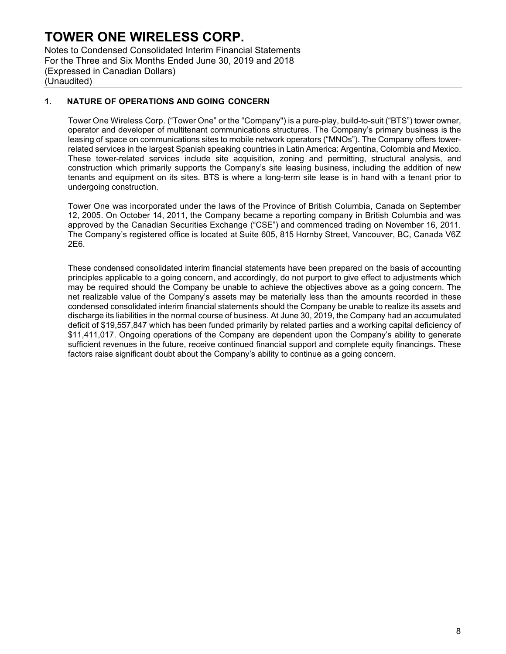Notes to Condensed Consolidated Interim Financial Statements For the Three and Six Months Ended June 30, 2019 and 2018 (Expressed in Canadian Dollars) (Unaudited)

### **1. NATURE OF OPERATIONS AND GOING CONCERN**

Tower One Wireless Corp. ("Tower One" or the "Company") is a pure-play, build-to-suit ("BTS") tower owner, operator and developer of multitenant communications structures. The Company's primary business is the leasing of space on communications sites to mobile network operators ("MNOs"). The Company offers towerrelated services in the largest Spanish speaking countries in Latin America: Argentina, Colombia and Mexico. These tower-related services include site acquisition, zoning and permitting, structural analysis, and construction which primarily supports the Company's site leasing business, including the addition of new tenants and equipment on its sites. BTS is where a long-term site lease is in hand with a tenant prior to undergoing construction.

Tower One was incorporated under the laws of the Province of British Columbia, Canada on September 12, 2005. On October 14, 2011, the Company became a reporting company in British Columbia and was approved by the Canadian Securities Exchange ("CSE") and commenced trading on November 16, 2011. The Company's registered office is located at Suite 605, 815 Hornby Street, Vancouver, BC, Canada V6Z 2E6.

These condensed consolidated interim financial statements have been prepared on the basis of accounting principles applicable to a going concern, and accordingly, do not purport to give effect to adjustments which may be required should the Company be unable to achieve the objectives above as a going concern. The net realizable value of the Company's assets may be materially less than the amounts recorded in these condensed consolidated interim financial statements should the Company be unable to realize its assets and discharge its liabilities in the normal course of business. At June 30, 2019, the Company had an accumulated deficit of \$19,557,847 which has been funded primarily by related parties and a working capital deficiency of \$11,411,017. Ongoing operations of the Company are dependent upon the Company's ability to generate sufficient revenues in the future, receive continued financial support and complete equity financings. These factors raise significant doubt about the Company's ability to continue as a going concern.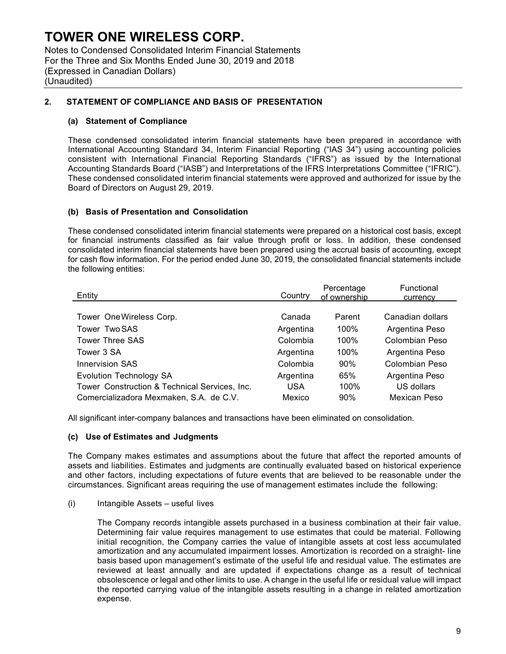Notes to Condensed Consolidated Interim Financial Statements For the Three and Six Months Ended June 30, 2019 and 2018 (Expressed in Canadian Dollars) (Unaudited)

### **2. STATEMENT OF COMPLIANCE AND BASIS OF PRESENTATION**

#### **(a) Statement of Compliance**

These condensed consolidated interim financial statements have been prepared in accordance with International Accounting Standard 34, Interim Financial Reporting ("IAS 34") using accounting policies consistent with International Financial Reporting Standards ("IFRS") as issued by the International Accounting Standards Board ("IASB") and Interpretations of the IFRS Interpretations Committee ("IFRIC"). These condensed consolidated interim financial statements were approved and authorized for issue by the Board of Directors on August 29, 2019.

#### **(b) Basis of Presentation and Consolidation**

These condensed consolidated interim financial statements were prepared on a historical cost basis, except for financial instruments classified as fair value through profit or loss. In addition, these condensed consolidated interim financial statements have been prepared using the accrual basis of accounting, except for cash flow information. For the period ended June 30, 2019, the consolidated financial statements include the following entities:

| Entity                                        | Country    | Percentage<br>of ownership | Functional<br>currency |
|-----------------------------------------------|------------|----------------------------|------------------------|
|                                               |            |                            |                        |
| Tower One Wireless Corp.                      | Canada     | Parent                     | Canadian dollars       |
| Tower Two SAS                                 | Argentina  | 100%                       | Argentina Peso         |
| <b>Tower Three SAS</b>                        | Colombia   | 100%                       | Colombian Peso         |
| Tower 3 SA                                    | Argentina  | 100%                       | Argentina Peso         |
| <b>Innervision SAS</b>                        | Colombia   | 90%                        | Colombian Peso         |
| <b>Evolution Technology SA</b>                | Argentina  | 65%                        | Argentina Peso         |
| Tower Construction & Technical Services, Inc. | <b>USA</b> | 100%                       | US dollars             |
| Comercializadora Mexmaken, S.A. de C.V.       | Mexico     | 90%                        | Mexican Peso           |

All significant inter-company balances and transactions have been eliminated on consolidation.

#### **(c) Use of Estimates and Judgments**

The Company makes estimates and assumptions about the future that affect the reported amounts of assets and liabilities. Estimates and judgments are continually evaluated based on historical experience and other factors, including expectations of future events that are believed to be reasonable under the circumstances. Significant areas requiring the use of management estimates include the following:

#### (i) Intangible Assets – useful lives

The Company records intangible assets purchased in a business combination at their fair value. Determining fair value requires management to use estimates that could be material. Following initial recognition, the Company carries the value of intangible assets at cost less accumulated amortization and any accumulated impairment losses. Amortization is recorded on a straight- line basis based upon management's estimate of the useful life and residual value. The estimates are reviewed at least annually and are updated if expectations change as a result of technical obsolescence or legal and other limits to use. A change in the useful life or residual value will impact the reported carrying value of the intangible assets resulting in a change in related amortization expense.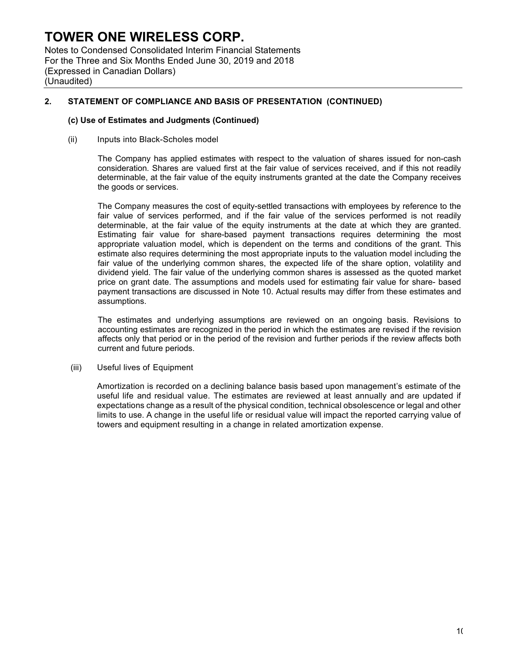Notes to Condensed Consolidated Interim Financial Statements For the Three and Six Months Ended June 30, 2019 and 2018 (Expressed in Canadian Dollars) (Unaudited)

### **2. STATEMENT OF COMPLIANCE AND BASIS OF PRESENTATION (CONTINUED)**

#### **(c) Use of Estimates and Judgments (Continued)**

(ii) Inputs into Black-Scholes model

The Company has applied estimates with respect to the valuation of shares issued for non-cash consideration. Shares are valued first at the fair value of services received, and if this not readily determinable, at the fair value of the equity instruments granted at the date the Company receives the goods or services.

The Company measures the cost of equity-settled transactions with employees by reference to the fair value of services performed, and if the fair value of the services performed is not readily determinable, at the fair value of the equity instruments at the date at which they are granted. Estimating fair value for share-based payment transactions requires determining the most appropriate valuation model, which is dependent on the terms and conditions of the grant. This estimate also requires determining the most appropriate inputs to the valuation model including the fair value of the underlying common shares, the expected life of the share option, volatility and dividend yield. The fair value of the underlying common shares is assessed as the quoted market price on grant date. The assumptions and models used for estimating fair value for share- based payment transactions are discussed in Note 10. Actual results may differ from these estimates and assumptions.

The estimates and underlying assumptions are reviewed on an ongoing basis. Revisions to accounting estimates are recognized in the period in which the estimates are revised if the revision affects only that period or in the period of the revision and further periods if the review affects both current and future periods.

(iii) Useful lives of Equipment

Amortization is recorded on a declining balance basis based upon management's estimate of the useful life and residual value. The estimates are reviewed at least annually and are updated if expectations change as a result of the physical condition, technical obsolescence or legal and other limits to use. A change in the useful life or residual value will impact the reported carrying value of towers and equipment resulting in a change in related amortization expense.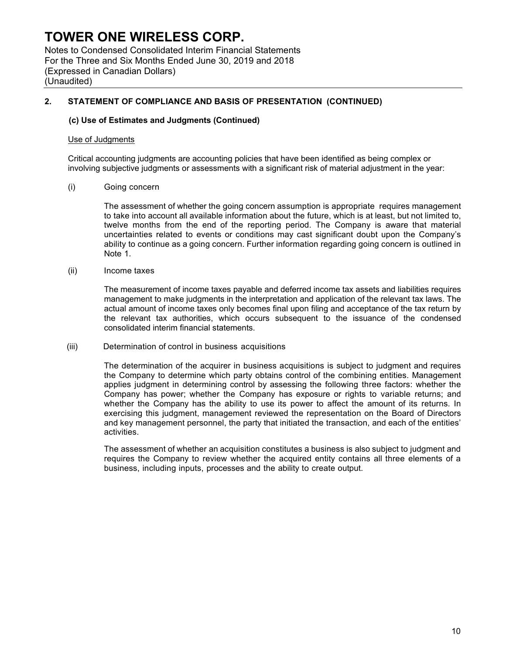Notes to Condensed Consolidated Interim Financial Statements For the Three and Six Months Ended June 30, 2019 and 2018 (Expressed in Canadian Dollars) (Unaudited)

### **2. STATEMENT OF COMPLIANCE AND BASIS OF PRESENTATION (CONTINUED)**

#### **(c) Use of Estimates and Judgments (Continued)**

#### Use of Judgments

Critical accounting judgments are accounting policies that have been identified as being complex or involving subjective judgments or assessments with a significant risk of material adjustment in the year:

(i) Going concern

The assessment of whether the going concern assumption is appropriate requires management to take into account all available information about the future, which is at least, but not limited to, twelve months from the end of the reporting period. The Company is aware that material uncertainties related to events or conditions may cast significant doubt upon the Company's ability to continue as a going concern. Further information regarding going concern is outlined in Note 1.

(ii) Income taxes

The measurement of income taxes payable and deferred income tax assets and liabilities requires management to make judgments in the interpretation and application of the relevant tax laws. The actual amount of income taxes only becomes final upon filing and acceptance of the tax return by the relevant tax authorities, which occurs subsequent to the issuance of the condensed consolidated interim financial statements.

(iii) Determination of control in business acquisitions

The determination of the acquirer in business acquisitions is subject to judgment and requires the Company to determine which party obtains control of the combining entities. Management applies judgment in determining control by assessing the following three factors: whether the Company has power; whether the Company has exposure or rights to variable returns; and whether the Company has the ability to use its power to affect the amount of its returns. In exercising this judgment, management reviewed the representation on the Board of Directors and key management personnel, the party that initiated the transaction, and each of the entities' activities.

The assessment of whether an acquisition constitutes a business is also subject to judgment and requires the Company to review whether the acquired entity contains all three elements of a business, including inputs, processes and the ability to create output.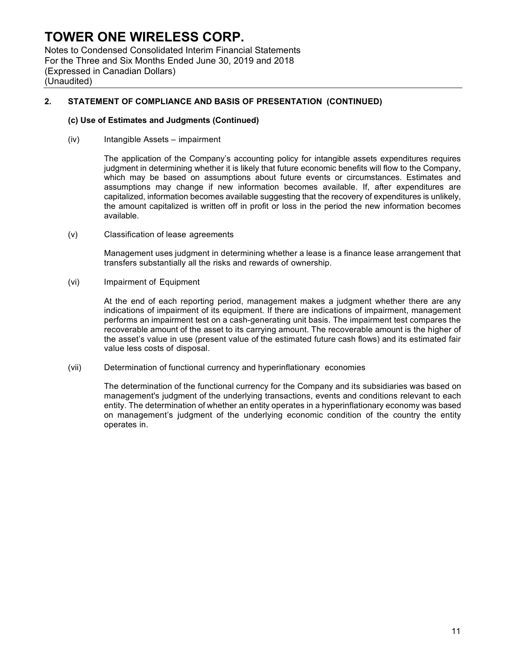Notes to Condensed Consolidated Interim Financial Statements For the Three and Six Months Ended June 30, 2019 and 2018 (Expressed in Canadian Dollars) (Unaudited)

### **2. STATEMENT OF COMPLIANCE AND BASIS OF PRESENTATION (CONTINUED)**

#### **(c) Use of Estimates and Judgments (Continued)**

(iv) Intangible Assets – impairment

The application of the Company's accounting policy for intangible assets expenditures requires judgment in determining whether it is likely that future economic benefits will flow to the Company, which may be based on assumptions about future events or circumstances. Estimates and assumptions may change if new information becomes available. If, after expenditures are capitalized, information becomes available suggesting that the recovery of expenditures is unlikely. the amount capitalized is written off in profit or loss in the period the new information becomes available.

(v) Classification of lease agreements

Management uses judgment in determining whether a lease is a finance lease arrangement that transfers substantially all the risks and rewards of ownership.

(vi) Impairment of Equipment

At the end of each reporting period, management makes a judgment whether there are any indications of impairment of its equipment. If there are indications of impairment, management performs an impairment test on a cash-generating unit basis. The impairment test compares the recoverable amount of the asset to its carrying amount. The recoverable amount is the higher of the asset's value in use (present value of the estimated future cash flows) and its estimated fair value less costs of disposal.

(vii) Determination of functional currency and hyperinflationary economies

The determination of the functional currency for the Company and its subsidiaries was based on management's judgment of the underlying transactions, events and conditions relevant to each entity. The determination of whether an entity operates in a hyperinflationary economy was based on management's judgment of the underlying economic condition of the country the entity operates in.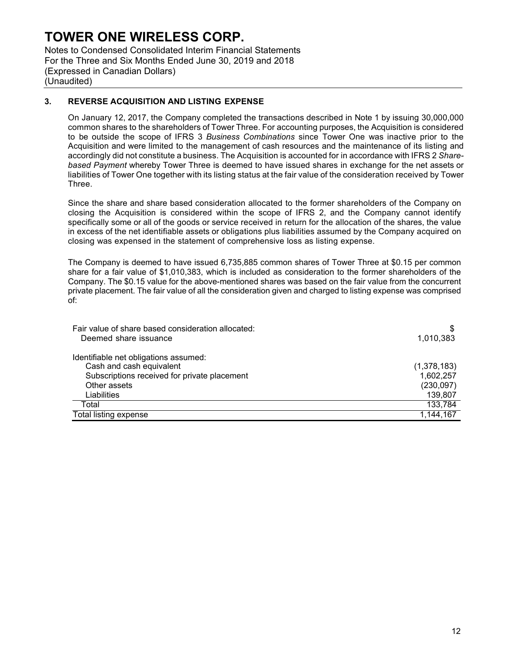Notes to Condensed Consolidated Interim Financial Statements For the Three and Six Months Ended June 30, 2019 and 2018 (Expressed in Canadian Dollars) (Unaudited)

### **3. REVERSE ACQUISITION AND LISTING EXPENSE**

On January 12, 2017, the Company completed the transactions described in Note 1 by issuing 30,000,000 common shares to the shareholders of Tower Three. For accounting purposes, the Acquisition is considered to be outside the scope of IFRS 3 *Business Combinations* since Tower One was inactive prior to the Acquisition and were limited to the management of cash resources and the maintenance of its listing and accordingly did not constitute a business. The Acquisition is accounted for in accordance with IFRS 2 *Sharebased Payment* whereby Tower Three is deemed to have issued shares in exchange for the net assets or liabilities of Tower One together with its listing status at the fair value of the consideration received by Tower Three.

Since the share and share based consideration allocated to the former shareholders of the Company on closing the Acquisition is considered within the scope of IFRS 2, and the Company cannot identify specifically some or all of the goods or service received in return for the allocation of the shares, the value in excess of the net identifiable assets or obligations plus liabilities assumed by the Company acquired on closing was expensed in the statement of comprehensive loss as listing expense.

The Company is deemed to have issued 6,735,885 common shares of Tower Three at \$0.15 per common share for a fair value of \$1,010,383, which is included as consideration to the former shareholders of the Company. The \$0.15 value for the above-mentioned shares was based on the fair value from the concurrent private placement. The fair value of all the consideration given and charged to listing expense was comprised of:

| Fair value of share based consideration allocated: |             |
|----------------------------------------------------|-------------|
| Deemed share issuance                              | 1,010,383   |
| Identifiable net obligations assumed:              |             |
| Cash and cash equivalent                           | (1,378,183) |
| Subscriptions received for private placement       | 1,602,257   |
| Other assets                                       | (230,097)   |
| Liabilities                                        | 139,807     |
| Total                                              | 133,784     |
| Total listing expense                              | 1,144,167   |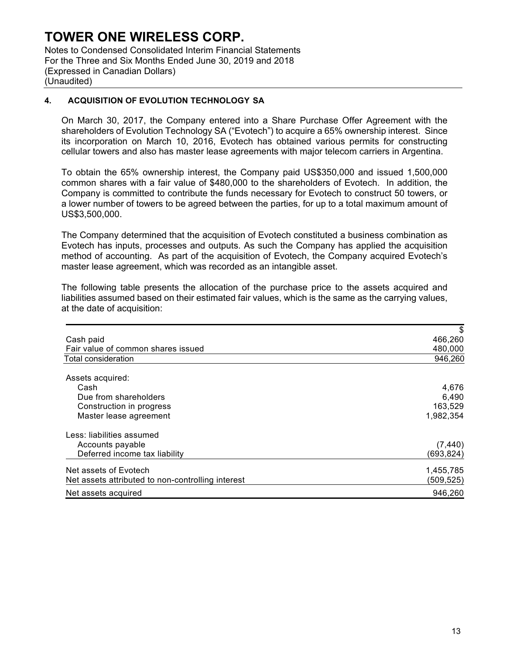Notes to Condensed Consolidated Interim Financial Statements For the Three and Six Months Ended June 30, 2019 and 2018 (Expressed in Canadian Dollars) (Unaudited)

### **4. ACQUISITION OF EVOLUTION TECHNOLOGY SA**

On March 30, 2017, the Company entered into a Share Purchase Offer Agreement with the shareholders of Evolution Technology SA ("Evotech") to acquire a 65% ownership interest. Since its incorporation on March 10, 2016, Evotech has obtained various permits for constructing cellular towers and also has master lease agreements with major telecom carriers in Argentina.

To obtain the 65% ownership interest, the Company paid US\$350,000 and issued 1,500,000 common shares with a fair value of \$480,000 to the shareholders of Evotech. In addition, the Company is committed to contribute the funds necessary for Evotech to construct 50 towers, or a lower number of towers to be agreed between the parties, for up to a total maximum amount of US\$3,500,000.

The Company determined that the acquisition of Evotech constituted a business combination as Evotech has inputs, processes and outputs. As such the Company has applied the acquisition method of accounting. As part of the acquisition of Evotech, the Company acquired Evotech's master lease agreement, which was recorded as an intangible asset.

The following table presents the allocation of the purchase price to the assets acquired and liabilities assumed based on their estimated fair values, which is the same as the carrying values, at the date of acquisition:

|                                                   | \$         |
|---------------------------------------------------|------------|
| Cash paid                                         | 466,260    |
| Fair value of common shares issued                | 480,000    |
| Total consideration                               | 946,260    |
| Assets acquired:                                  |            |
| Cash                                              | 4,676      |
| Due from shareholders                             | 6,490      |
| Construction in progress                          | 163,529    |
| Master lease agreement                            | 1,982,354  |
| Less: liabilities assumed                         |            |
| Accounts payable                                  | (7, 440)   |
| Deferred income tax liability                     | (693, 824) |
| Net assets of Evotech                             | 1,455,785  |
| Net assets attributed to non-controlling interest | (509,525)  |
| Net assets acquired                               | 946,260    |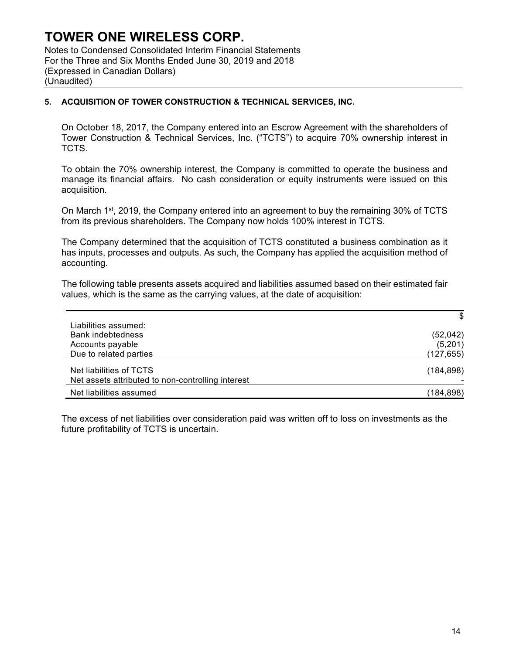Notes to Condensed Consolidated Interim Financial Statements For the Three and Six Months Ended June 30, 2019 and 2018 (Expressed in Canadian Dollars) (Unaudited)

### **5. ACQUISITION OF TOWER CONSTRUCTION & TECHNICAL SERVICES, INC.**

On October 18, 2017, the Company entered into an Escrow Agreement with the shareholders of Tower Construction & Technical Services, Inc. ("TCTS") to acquire 70% ownership interest in TCTS.

To obtain the 70% ownership interest, the Company is committed to operate the business and manage its financial affairs. No cash consideration or equity instruments were issued on this acquisition.

On March 1st, 2019, the Company entered into an agreement to buy the remaining 30% of TCTS from its previous shareholders. The Company now holds 100% interest in TCTS.

The Company determined that the acquisition of TCTS constituted a business combination as it has inputs, processes and outputs. As such, the Company has applied the acquisition method of accounting.

The following table presents assets acquired and liabilities assumed based on their estimated fair values, which is the same as the carrying values, at the date of acquisition:

|                                                   | \$         |
|---------------------------------------------------|------------|
| Liabilities assumed:                              |            |
| Bank indebtedness                                 | (52,042)   |
| Accounts payable                                  | (5,201)    |
| Due to related parties                            | (127, 655) |
| Net liabilities of TCTS                           | (184, 898) |
| Net assets attributed to non-controlling interest |            |
| Net liabilities assumed                           | (184, 898) |

The excess of net liabilities over consideration paid was written off to loss on investments as the future profitability of TCTS is uncertain.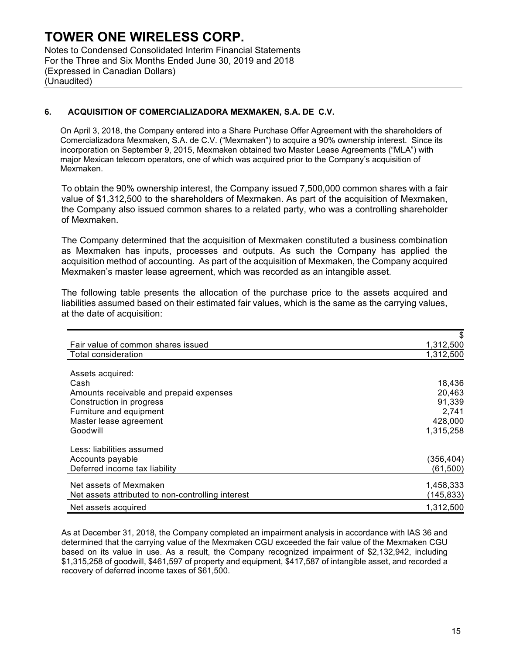Notes to Condensed Consolidated Interim Financial Statements For the Three and Six Months Ended June 30, 2019 and 2018 (Expressed in Canadian Dollars) (Unaudited)

### **6. ACQUISITION OF COMERCIALIZADORA MEXMAKEN, S.A. DE C.V.**

On April 3, 2018, the Company entered into a Share Purchase Offer Agreement with the shareholders of Comercializadora Mexmaken, S.A. de C.V. ("Mexmaken") to acquire a 90% ownership interest. Since its incorporation on September 9, 2015, Mexmaken obtained two Master Lease Agreements ("MLA") with major Mexican telecom operators, one of which was acquired prior to the Company's acquisition of Mexmaken.

To obtain the 90% ownership interest, the Company issued 7,500,000 common shares with a fair value of \$1,312,500 to the shareholders of Mexmaken. As part of the acquisition of Mexmaken, the Company also issued common shares to a related party, who was a controlling shareholder of Mexmaken.

The Company determined that the acquisition of Mexmaken constituted a business combination as Mexmaken has inputs, processes and outputs. As such the Company has applied the acquisition method of accounting. As part of the acquisition of Mexmaken, the Company acquired Mexmaken's master lease agreement, which was recorded as an intangible asset.

The following table presents the allocation of the purchase price to the assets acquired and liabilities assumed based on their estimated fair values, which is the same as the carrying values, at the date of acquisition:

| Fair value of common shares issued                | 1,312,500  |
|---------------------------------------------------|------------|
| Total consideration                               | 1,312,500  |
|                                                   |            |
| Assets acquired:                                  |            |
| Cash                                              | 18,436     |
| Amounts receivable and prepaid expenses           | 20,463     |
| Construction in progress                          | 91,339     |
| Furniture and equipment                           | 2,741      |
| Master lease agreement                            | 428,000    |
| Goodwill                                          | 1,315,258  |
| Less: liabilities assumed                         |            |
| Accounts payable                                  | (356,404)  |
| Deferred income tax liability                     | (61, 500)  |
| Net assets of Mexmaken                            | 1,458,333  |
| Net assets attributed to non-controlling interest | (145, 833) |
| Net assets acquired                               | 1,312,500  |

As at December 31, 2018, the Company completed an impairment analysis in accordance with IAS 36 and determined that the carrying value of the Mexmaken CGU exceeded the fair value of the Mexmaken CGU based on its value in use. As a result, the Company recognized impairment of \$2,132,942, including \$1,315,258 of goodwill, \$461,597 of property and equipment, \$417,587 of intangible asset, and recorded a recovery of deferred income taxes of \$61,500.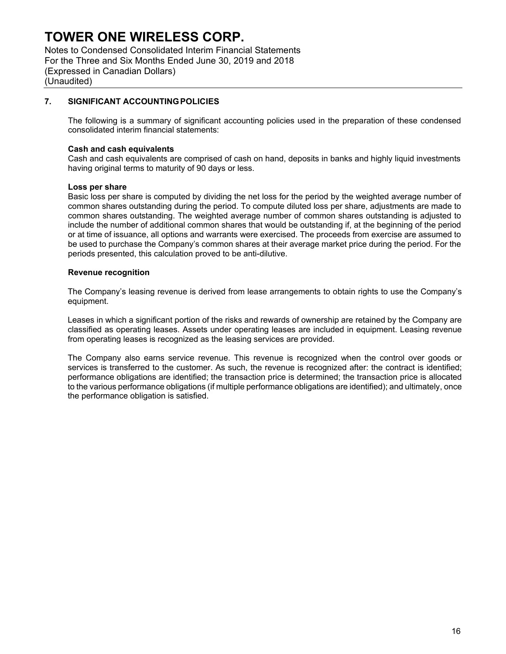Notes to Condensed Consolidated Interim Financial Statements For the Three and Six Months Ended June 30, 2019 and 2018 (Expressed in Canadian Dollars) (Unaudited)

### **7. SIGNIFICANT ACCOUNTINGPOLICIES**

The following is a summary of significant accounting policies used in the preparation of these condensed consolidated interim financial statements:

#### **Cash and cash equivalents**

Cash and cash equivalents are comprised of cash on hand, deposits in banks and highly liquid investments having original terms to maturity of 90 days or less.

#### **Loss per share**

Basic loss per share is computed by dividing the net loss for the period by the weighted average number of common shares outstanding during the period. To compute diluted loss per share, adjustments are made to common shares outstanding. The weighted average number of common shares outstanding is adjusted to include the number of additional common shares that would be outstanding if, at the beginning of the period or at time of issuance, all options and warrants were exercised. The proceeds from exercise are assumed to be used to purchase the Company's common shares at their average market price during the period. For the periods presented, this calculation proved to be anti-dilutive.

#### **Revenue recognition**

The Company's leasing revenue is derived from lease arrangements to obtain rights to use the Company's equipment.

Leases in which a significant portion of the risks and rewards of ownership are retained by the Company are classified as operating leases. Assets under operating leases are included in equipment. Leasing revenue from operating leases is recognized as the leasing services are provided.

The Company also earns service revenue. This revenue is recognized when the control over goods or services is transferred to the customer. As such, the revenue is recognized after: the contract is identified; performance obligations are identified; the transaction price is determined; the transaction price is allocated to the various performance obligations (if multiple performance obligations are identified); and ultimately, once the performance obligation is satisfied.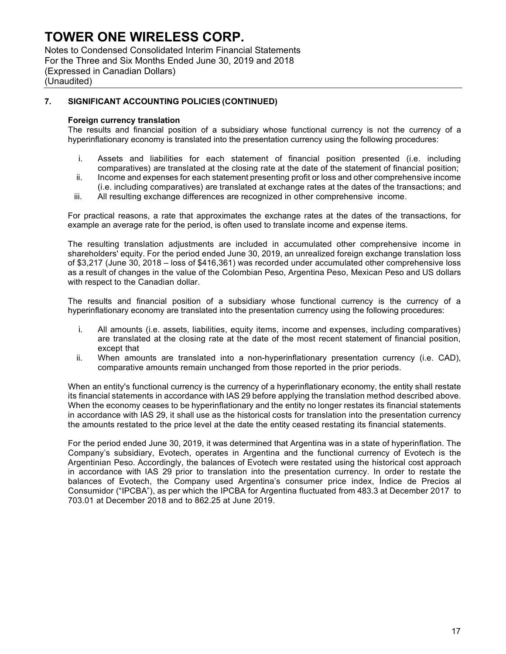Notes to Condensed Consolidated Interim Financial Statements For the Three and Six Months Ended June 30, 2019 and 2018 (Expressed in Canadian Dollars) (Unaudited)

### **7. SIGNIFICANT ACCOUNTING POLICIES (CONTINUED)**

#### **Foreign currency translation**

The results and financial position of a subsidiary whose functional currency is not the currency of a hyperinflationary economy is translated into the presentation currency using the following procedures:

- i. Assets and liabilities for each statement of financial position presented (i.e. including comparatives) are translated at the closing rate at the date of the statement of financial position;
- ii. Income and expenses for each statement presenting profit or loss and other comprehensive income (i.e. including comparatives) are translated at exchange rates at the dates of the transactions; and
- iii. All resulting exchange differences are recognized in other comprehensive income.

For practical reasons, a rate that approximates the exchange rates at the dates of the transactions, for example an average rate for the period, is often used to translate income and expense items.

The resulting translation adjustments are included in accumulated other comprehensive income in shareholders' equity. For the period ended June 30, 2019, an unrealized foreign exchange translation loss of \$3,217 (June 30, 2018 – loss of \$416,361) was recorded under accumulated other comprehensive loss as a result of changes in the value of the Colombian Peso, Argentina Peso, Mexican Peso and US dollars with respect to the Canadian dollar.

The results and financial position of a subsidiary whose functional currency is the currency of a hyperinflationary economy are translated into the presentation currency using the following procedures:

- i. All amounts (i.e. assets, liabilities, equity items, income and expenses, including comparatives) are translated at the closing rate at the date of the most recent statement of financial position, except that
- ii. When amounts are translated into a non-hyperinflationary presentation currency (i.e. CAD), comparative amounts remain unchanged from those reported in the prior periods.

When an entity's functional currency is the currency of a hyperinflationary economy, the entity shall restate its financial statements in accordance with IAS 29 before applying the translation method described above. When the economy ceases to be hyperinflationary and the entity no longer restates its financial statements in accordance with IAS 29, it shall use as the historical costs for translation into the presentation currency the amounts restated to the price level at the date the entity ceased restating its financial statements.

For the period ended June 30, 2019, it was determined that Argentina was in a state of hyperinflation. The Company's subsidiary, Evotech, operates in Argentina and the functional currency of Evotech is the Argentinian Peso. Accordingly, the balances of Evotech were restated using the historical cost approach in accordance with IAS 29 prior to translation into the presentation currency. In order to restate the balances of Evotech, the Company used Argentina's consumer price index, Índice de Precios al Consumidor ("IPCBA"), as per which the IPCBA for Argentina fluctuated from 483.3 at December 2017 to 703.01 at December 2018 and to 862.25 at June 2019.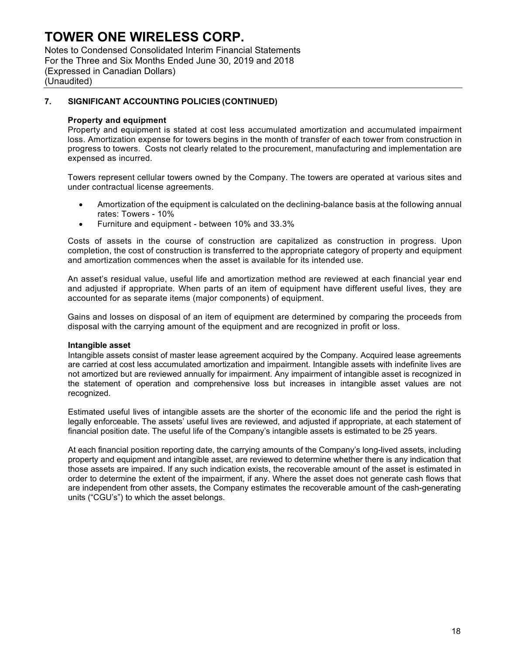Notes to Condensed Consolidated Interim Financial Statements For the Three and Six Months Ended June 30, 2019 and 2018 (Expressed in Canadian Dollars) (Unaudited)

### **7. SIGNIFICANT ACCOUNTING POLICIES (CONTINUED)**

#### **Property and equipment**

Property and equipment is stated at cost less accumulated amortization and accumulated impairment loss. Amortization expense for towers begins in the month of transfer of each tower from construction in progress to towers. Costs not clearly related to the procurement, manufacturing and implementation are expensed as incurred.

Towers represent cellular towers owned by the Company. The towers are operated at various sites and under contractual license agreements.

- Amortization of the equipment is calculated on the declining-balance basis at the following annual rates: Towers - 10%
- Furniture and equipment between 10% and 33.3%

Costs of assets in the course of construction are capitalized as construction in progress. Upon completion, the cost of construction is transferred to the appropriate category of property and equipment and amortization commences when the asset is available for its intended use.

An asset's residual value, useful life and amortization method are reviewed at each financial year end and adjusted if appropriate. When parts of an item of equipment have different useful lives, they are accounted for as separate items (major components) of equipment.

Gains and losses on disposal of an item of equipment are determined by comparing the proceeds from disposal with the carrying amount of the equipment and are recognized in profit or loss.

#### **Intangible asset**

Intangible assets consist of master lease agreement acquired by the Company. Acquired lease agreements are carried at cost less accumulated amortization and impairment. Intangible assets with indefinite lives are not amortized but are reviewed annually for impairment. Any impairment of intangible asset is recognized in the statement of operation and comprehensive loss but increases in intangible asset values are not recognized.

Estimated useful lives of intangible assets are the shorter of the economic life and the period the right is legally enforceable. The assets' useful lives are reviewed, and adjusted if appropriate, at each statement of financial position date. The useful life of the Company's intangible assets is estimated to be 25 years.

At each financial position reporting date, the carrying amounts of the Company's long-lived assets, including property and equipment and intangible asset, are reviewed to determine whether there is any indication that those assets are impaired. If any such indication exists, the recoverable amount of the asset is estimated in order to determine the extent of the impairment, if any. Where the asset does not generate cash flows that are independent from other assets, the Company estimates the recoverable amount of the cash-generating units ("CGU's") to which the asset belongs.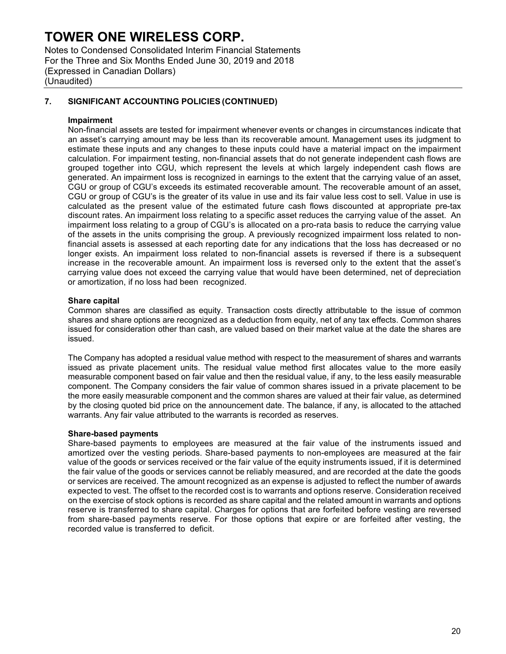Notes to Condensed Consolidated Interim Financial Statements For the Three and Six Months Ended June 30, 2019 and 2018 (Expressed in Canadian Dollars) (Unaudited)

### **7. SIGNIFICANT ACCOUNTING POLICIES (CONTINUED)**

#### **Impairment**

Non-financial assets are tested for impairment whenever events or changes in circumstances indicate that an asset's carrying amount may be less than its recoverable amount. Management uses its judgment to estimate these inputs and any changes to these inputs could have a material impact on the impairment calculation. For impairment testing, non-financial assets that do not generate independent cash flows are grouped together into CGU, which represent the levels at which largely independent cash flows are generated. An impairment loss is recognized in earnings to the extent that the carrying value of an asset, CGU or group of CGU's exceeds its estimated recoverable amount. The recoverable amount of an asset, CGU or group of CGU's is the greater of its value in use and its fair value less cost to sell. Value in use is calculated as the present value of the estimated future cash flows discounted at appropriate pre-tax discount rates. An impairment loss relating to a specific asset reduces the carrying value of the asset. An impairment loss relating to a group of CGU's is allocated on a pro-rata basis to reduce the carrying value of the assets in the units comprising the group. A previously recognized impairment loss related to nonfinancial assets is assessed at each reporting date for any indications that the loss has decreased or no longer exists. An impairment loss related to non-financial assets is reversed if there is a subsequent increase in the recoverable amount. An impairment loss is reversed only to the extent that the asset's carrying value does not exceed the carrying value that would have been determined, net of depreciation or amortization, if no loss had been recognized.

#### **Share capital**

Common shares are classified as equity. Transaction costs directly attributable to the issue of common shares and share options are recognized as a deduction from equity, net of any tax effects. Common shares issued for consideration other than cash, are valued based on their market value at the date the shares are issued.

The Company has adopted a residual value method with respect to the measurement of shares and warrants issued as private placement units. The residual value method first allocates value to the more easily measurable component based on fair value and then the residual value, if any, to the less easily measurable component. The Company considers the fair value of common shares issued in a private placement to be the more easily measurable component and the common shares are valued at their fair value, as determined by the closing quoted bid price on the announcement date. The balance, if any, is allocated to the attached warrants. Any fair value attributed to the warrants is recorded as reserves.

#### **Share-based payments**

Share-based payments to employees are measured at the fair value of the instruments issued and amortized over the vesting periods. Share-based payments to non-employees are measured at the fair value of the goods or services received or the fair value of the equity instruments issued, if it is determined the fair value of the goods or services cannot be reliably measured, and are recorded at the date the goods or services are received. The amount recognized as an expense is adjusted to reflect the number of awards expected to vest. The offset to the recorded cost is to warrants and options reserve. Consideration received on the exercise of stock options is recorded as share capital and the related amount in warrants and options reserve is transferred to share capital. Charges for options that are forfeited before vesting are reversed from share-based payments reserve. For those options that expire or are forfeited after vesting, the recorded value is transferred to deficit.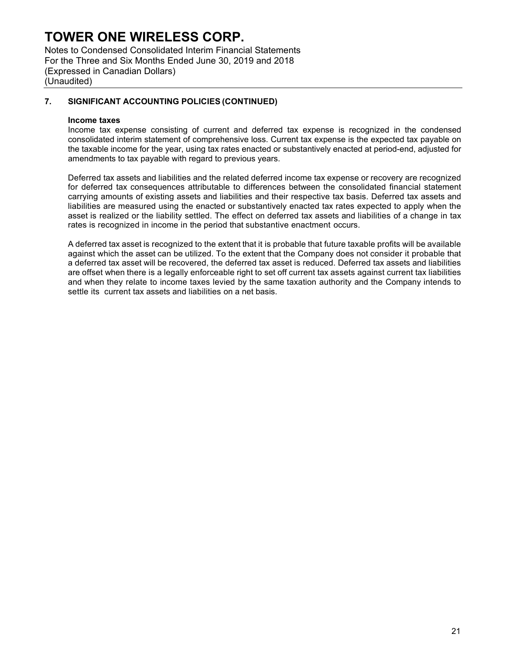Notes to Condensed Consolidated Interim Financial Statements For the Three and Six Months Ended June 30, 2019 and 2018 (Expressed in Canadian Dollars) (Unaudited)

### **7. SIGNIFICANT ACCOUNTING POLICIES (CONTINUED)**

#### **Income taxes**

Income tax expense consisting of current and deferred tax expense is recognized in the condensed consolidated interim statement of comprehensive loss. Current tax expense is the expected tax payable on the taxable income for the year, using tax rates enacted or substantively enacted at period-end, adjusted for amendments to tax payable with regard to previous years.

Deferred tax assets and liabilities and the related deferred income tax expense or recovery are recognized for deferred tax consequences attributable to differences between the consolidated financial statement carrying amounts of existing assets and liabilities and their respective tax basis. Deferred tax assets and liabilities are measured using the enacted or substantively enacted tax rates expected to apply when the asset is realized or the liability settled. The effect on deferred tax assets and liabilities of a change in tax rates is recognized in income in the period that substantive enactment occurs.

A deferred tax asset is recognized to the extent that it is probable that future taxable profits will be available against which the asset can be utilized. To the extent that the Company does not consider it probable that a deferred tax asset will be recovered, the deferred tax asset is reduced. Deferred tax assets and liabilities are offset when there is a legally enforceable right to set off current tax assets against current tax liabilities and when they relate to income taxes levied by the same taxation authority and the Company intends to settle its current tax assets and liabilities on a net basis.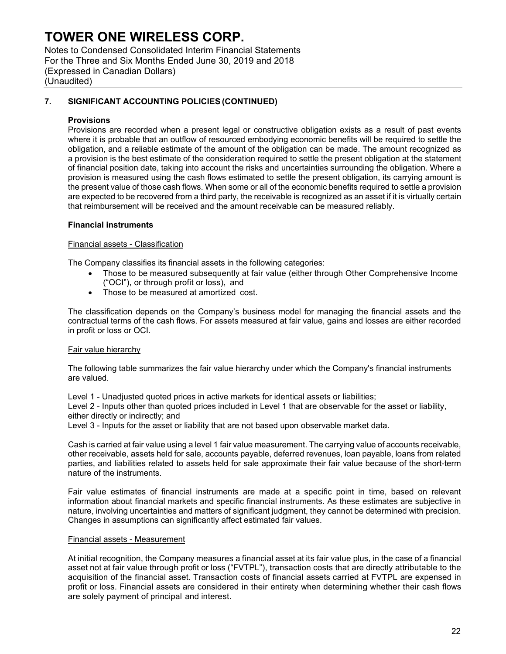Notes to Condensed Consolidated Interim Financial Statements For the Three and Six Months Ended June 30, 2019 and 2018 (Expressed in Canadian Dollars) (Unaudited)

### **7. SIGNIFICANT ACCOUNTING POLICIES (CONTINUED)**

#### **Provisions**

Provisions are recorded when a present legal or constructive obligation exists as a result of past events where it is probable that an outflow of resourced embodying economic benefits will be required to settle the obligation, and a reliable estimate of the amount of the obligation can be made. The amount recognized as a provision is the best estimate of the consideration required to settle the present obligation at the statement of financial position date, taking into account the risks and uncertainties surrounding the obligation. Where a provision is measured using the cash flows estimated to settle the present obligation, its carrying amount is the present value of those cash flows. When some or all of the economic benefits required to settle a provision are expected to be recovered from a third party, the receivable is recognized as an asset if it is virtually certain that reimbursement will be received and the amount receivable can be measured reliably.

#### **Financial instruments**

#### Financial assets - Classification

The Company classifies its financial assets in the following categories:

- Those to be measured subsequently at fair value (either through Other Comprehensive Income ("OCI"), or through profit or loss), and
- Those to be measured at amortized cost.

The classification depends on the Company's business model for managing the financial assets and the contractual terms of the cash flows. For assets measured at fair value, gains and losses are either recorded in profit or loss or OCI.

### Fair value hierarchy

The following table summarizes the fair value hierarchy under which the Company's financial instruments are valued.

Level 1 - Unadjusted quoted prices in active markets for identical assets or liabilities;

Level 2 - Inputs other than quoted prices included in Level 1 that are observable for the asset or liability, either directly or indirectly; and

Level 3 - Inputs for the asset or liability that are not based upon observable market data.

Cash is carried at fair value using a level 1 fair value measurement. The carrying value of accounts receivable, other receivable, assets held for sale, accounts payable, deferred revenues, loan payable, loans from related parties, and liabilities related to assets held for sale approximate their fair value because of the short-term nature of the instruments.

Fair value estimates of financial instruments are made at a specific point in time, based on relevant information about financial markets and specific financial instruments. As these estimates are subjective in nature, involving uncertainties and matters of significant judgment, they cannot be determined with precision. Changes in assumptions can significantly affect estimated fair values.

#### Financial assets - Measurement

At initial recognition, the Company measures a financial asset at its fair value plus, in the case of a financial asset not at fair value through profit or loss ("FVTPL"), transaction costs that are directly attributable to the acquisition of the financial asset. Transaction costs of financial assets carried at FVTPL are expensed in profit or loss. Financial assets are considered in their entirety when determining whether their cash flows are solely payment of principal and interest.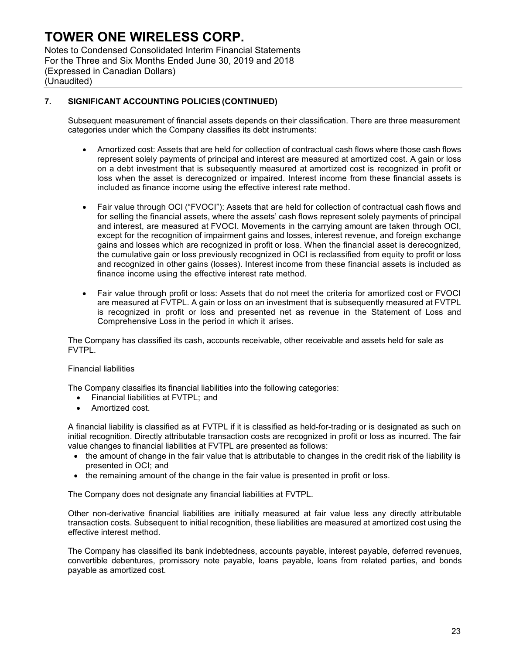Notes to Condensed Consolidated Interim Financial Statements For the Three and Six Months Ended June 30, 2019 and 2018 (Expressed in Canadian Dollars) (Unaudited)

### **7. SIGNIFICANT ACCOUNTING POLICIES (CONTINUED)**

Subsequent measurement of financial assets depends on their classification. There are three measurement categories under which the Company classifies its debt instruments:

- Amortized cost: Assets that are held for collection of contractual cash flows where those cash flows represent solely payments of principal and interest are measured at amortized cost. A gain or loss on a debt investment that is subsequently measured at amortized cost is recognized in profit or loss when the asset is derecognized or impaired. Interest income from these financial assets is included as finance income using the effective interest rate method.
- Fair value through OCI ("FVOCI"): Assets that are held for collection of contractual cash flows and for selling the financial assets, where the assets' cash flows represent solely payments of principal and interest, are measured at FVOCI. Movements in the carrying amount are taken through OCI, except for the recognition of impairment gains and losses, interest revenue, and foreign exchange gains and losses which are recognized in profit or loss. When the financial asset is derecognized, the cumulative gain or loss previously recognized in OCI is reclassified from equity to profit or loss and recognized in other gains (losses). Interest income from these financial assets is included as finance income using the effective interest rate method.
- Fair value through profit or loss: Assets that do not meet the criteria for amortized cost or FVOCI are measured at FVTPL. A gain or loss on an investment that is subsequently measured at FVTPL is recognized in profit or loss and presented net as revenue in the Statement of Loss and Comprehensive Loss in the period in which it arises.

The Company has classified its cash, accounts receivable, other receivable and assets held for sale as FVTPL.

### Financial liabilities

The Company classifies its financial liabilities into the following categories:

- Financial liabilities at FVTPL; and
- Amortized cost.

A financial liability is classified as at FVTPL if it is classified as held-for-trading or is designated as such on initial recognition. Directly attributable transaction costs are recognized in profit or loss as incurred. The fair value changes to financial liabilities at FVTPL are presented as follows:

- the amount of change in the fair value that is attributable to changes in the credit risk of the liability is presented in OCI; and
- the remaining amount of the change in the fair value is presented in profit or loss.

The Company does not designate any financial liabilities at FVTPL.

Other non-derivative financial liabilities are initially measured at fair value less any directly attributable transaction costs. Subsequent to initial recognition, these liabilities are measured at amortized cost using the effective interest method.

The Company has classified its bank indebtedness, accounts payable, interest payable, deferred revenues, convertible debentures, promissory note payable, loans payable, loans from related parties, and bonds payable as amortized cost.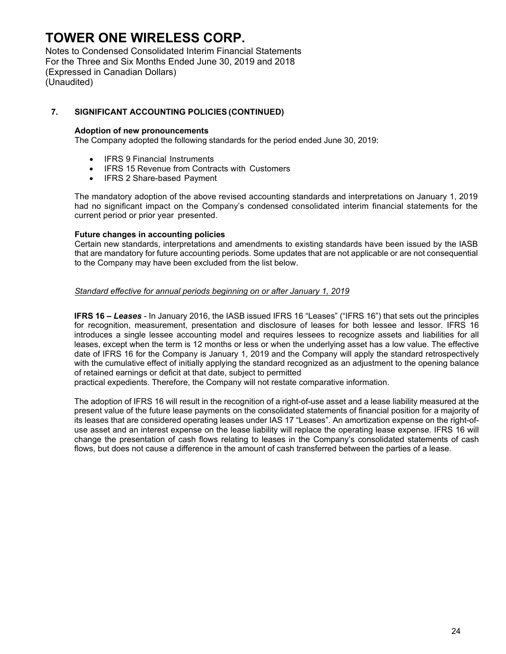Notes to Condensed Consolidated Interim Financial Statements For the Three and Six Months Ended June 30, 2019 and 2018 (Expressed in Canadian Dollars) (Unaudited)

### **7. SIGNIFICANT ACCOUNTING POLICIES (CONTINUED)**

#### **Adoption of new pronouncements**

The Company adopted the following standards for the period ended June 30, 2019:

- IFRS 9 Financial Instruments
- IFRS 15 Revenue from Contracts with Customers
- IFRS 2 Share-based Payment

The mandatory adoption of the above revised accounting standards and interpretations on January 1, 2019 had no significant impact on the Company's condensed consolidated interim financial statements for the current period or prior year presented.

#### **Future changes in accounting policies**

Certain new standards, interpretations and amendments to existing standards have been issued by the IASB that are mandatory for future accounting periods. Some updates that are not applicable or are not consequential to the Company may have been excluded from the list below.

#### *Standard effective for annual periods beginning on or after January 1, 2019*

**IFRS 16 –** *Leases* - In January 2016, the IASB issued IFRS 16 "Leases" ("IFRS 16") that sets out the principles for recognition, measurement, presentation and disclosure of leases for both lessee and lessor. IFRS 16 introduces a single lessee accounting model and requires lessees to recognize assets and liabilities for all leases, except when the term is 12 months or less or when the underlying asset has a low value. The effective date of IFRS 16 for the Company is January 1, 2019 and the Company will apply the standard retrospectively with the cumulative effect of initially applying the standard recognized as an adjustment to the opening balance of retained earnings or deficit at that date, subject to permitted

practical expedients. Therefore, the Company will not restate comparative information.

The adoption of IFRS 16 will result in the recognition of a right-of-use asset and a lease liability measured at the present value of the future lease payments on the consolidated statements of financial position for a majority of its leases that are considered operating leases under IAS 17 "Leases". An amortization expense on the right-ofuse asset and an interest expense on the lease liability will replace the operating lease expense. IFRS 16 will change the presentation of cash flows relating to leases in the Company's consolidated statements of cash flows, but does not cause a difference in the amount of cash transferred between the parties of a lease.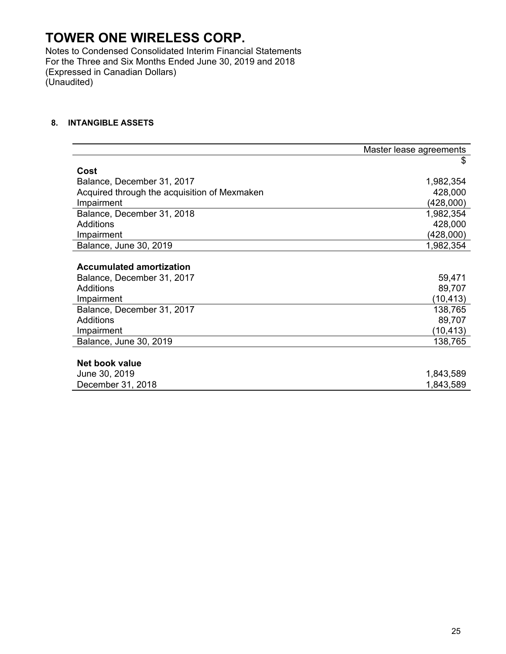Notes to Condensed Consolidated Interim Financial Statements For the Three and Six Months Ended June 30, 2019 and 2018 (Expressed in Canadian Dollars) (Unaudited)

### **8. INTANGIBLE ASSETS**

|                                              | Master lease agreements |
|----------------------------------------------|-------------------------|
|                                              | \$                      |
| Cost                                         |                         |
| Balance, December 31, 2017                   | 1,982,354               |
| Acquired through the acquisition of Mexmaken | 428,000                 |
| Impairment                                   | (428,000)               |
| Balance, December 31, 2018                   | 1,982,354               |
| Additions                                    | 428,000                 |
| Impairment                                   | (428,000)               |
| Balance, June 30, 2019                       | 1,982,354               |
|                                              |                         |
| <b>Accumulated amortization</b>              |                         |
| Balance, December 31, 2017                   | 59,471                  |
| <b>Additions</b>                             | 89,707                  |
| Impairment                                   | (10, 413)               |
| Balance, December 31, 2017                   | 138,765                 |
| <b>Additions</b>                             | 89,707                  |
| Impairment                                   | (10, 413)               |
| Balance, June 30, 2019                       | 138,765                 |
|                                              |                         |
| Net book value                               |                         |
| June 30, 2019                                | 1,843,589               |
| December 31, 2018                            | 1,843,589               |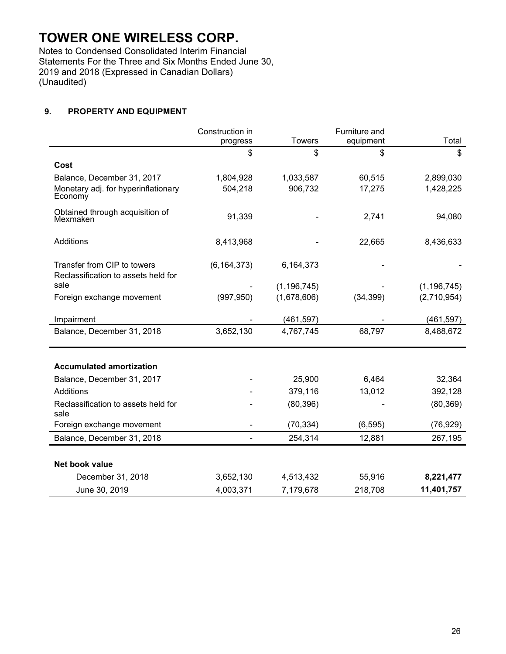Notes to Condensed Consolidated Interim Financial Statements For the Three and Six Months Ended June 30, 2019 and 2018 (Expressed in Canadian Dollars) (Unaudited)

### **9. PROPERTY AND EQUIPMENT**

|                                     | Construction in |                      | Furniture and    |                        |
|-------------------------------------|-----------------|----------------------|------------------|------------------------|
|                                     | progress<br>\$  | <b>Towers</b><br>\$  | equipment<br>\$  | Total<br>\$            |
| Cost                                |                 |                      |                  |                        |
| Balance, December 31, 2017          | 1,804,928       |                      |                  |                        |
| Monetary adj. for hyperinflationary | 504,218         | 1,033,587<br>906,732 | 60,515<br>17,275 | 2,899,030<br>1,428,225 |
| Economy                             |                 |                      |                  |                        |
| Obtained through acquisition of     | 91,339          |                      | 2,741            | 94,080                 |
| Mexmaken                            |                 |                      |                  |                        |
| Additions                           | 8,413,968       |                      | 22,665           | 8,436,633              |
|                                     |                 |                      |                  |                        |
| Transfer from CIP to towers         | (6, 164, 373)   | 6,164,373            |                  |                        |
| Reclassification to assets held for |                 |                      |                  |                        |
| sale                                |                 | (1, 196, 745)        |                  | (1, 196, 745)          |
| Foreign exchange movement           | (997, 950)      | (1,678,606)          | (34, 399)        | (2,710,954)            |
| Impairment                          |                 | (461, 597)           |                  | (461, 597)             |
| Balance, December 31, 2018          | 3,652,130       | 4,767,745            | 68,797           | 8,488,672              |
|                                     |                 |                      |                  |                        |
| <b>Accumulated amortization</b>     |                 |                      |                  |                        |
| Balance, December 31, 2017          |                 | 25,900               | 6,464            | 32,364                 |
| Additions                           |                 | 379,116              | 13,012           | 392,128                |
| Reclassification to assets held for |                 | (80, 396)            |                  | (80, 369)              |
| sale                                |                 |                      |                  |                        |
| Foreign exchange movement           |                 | (70, 334)            | (6, 595)         | (76, 929)              |
| Balance, December 31, 2018          | $\blacksquare$  | 254,314              | 12,881           | 267,195                |
|                                     |                 |                      |                  |                        |
| Net book value                      |                 |                      |                  |                        |
| December 31, 2018                   | 3,652,130       | 4,513,432            | 55,916           | 8,221,477              |
| June 30, 2019                       | 4,003,371       | 7,179,678            | 218,708          | 11,401,757             |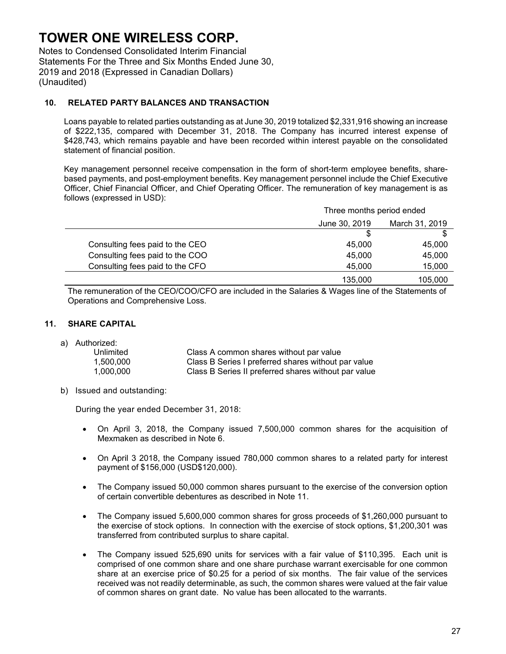Notes to Condensed Consolidated Interim Financial Statements For the Three and Six Months Ended June 30, 2019 and 2018 (Expressed in Canadian Dollars) (Unaudited)

### **10. RELATED PARTY BALANCES AND TRANSACTION**

Loans payable to related parties outstanding as at June 30, 2019 totalized \$2,331,916 showing an increase of \$222,135, compared with December 31, 2018. The Company has incurred interest expense of \$428,743, which remains payable and have been recorded within interest payable on the consolidated statement of financial position.

Key management personnel receive compensation in the form of short-term employee benefits, sharebased payments, and post-employment benefits. Key management personnel include the Chief Executive Officer, Chief Financial Officer, and Chief Operating Officer. The remuneration of key management is as follows (expressed in USD):

|                                 | Three months period ended       |         |
|---------------------------------|---------------------------------|---------|
|                                 | March 31, 2019<br>June 30, 2019 |         |
|                                 | S                               |         |
| Consulting fees paid to the CEO | 45,000                          | 45,000  |
| Consulting fees paid to the COO | 45,000                          | 45,000  |
| Consulting fees paid to the CFO | 45,000                          | 15,000  |
|                                 | 135,000                         | 105,000 |

The remuneration of the CEO/COO/CFO are included in the Salaries & Wages line of the Statements of Operations and Comprehensive Loss.

### **11. SHARE CAPITAL**

a) Authorized:

| Unlimited | Class A common shares without par value              |
|-----------|------------------------------------------------------|
| 1,500,000 | Class B Series I preferred shares without par value  |
| 1.000.000 | Class B Series II preferred shares without par value |

b) Issued and outstanding:

During the year ended December 31, 2018:

- On April 3, 2018, the Company issued 7,500,000 common shares for the acquisition of Mexmaken as described in Note 6.
- On April 3 2018, the Company issued 780,000 common shares to a related party for interest payment of \$156,000 (USD\$120,000).
- The Company issued 50,000 common shares pursuant to the exercise of the conversion option of certain convertible debentures as described in Note 11.
- The Company issued 5,600,000 common shares for gross proceeds of \$1,260,000 pursuant to the exercise of stock options. In connection with the exercise of stock options, \$1,200,301 was transferred from contributed surplus to share capital.
- The Company issued 525,690 units for services with a fair value of \$110,395. Each unit is comprised of one common share and one share purchase warrant exercisable for one common share at an exercise price of \$0.25 for a period of six months. The fair value of the services received was not readily determinable, as such, the common shares were valued at the fair value of common shares on grant date. No value has been allocated to the warrants.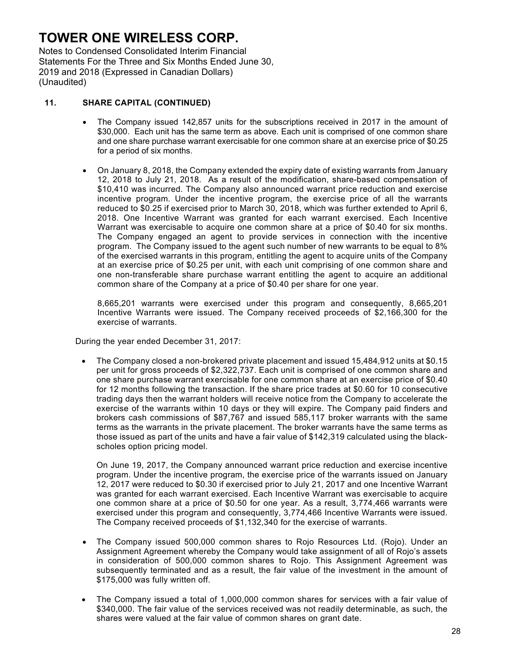Notes to Condensed Consolidated Interim Financial Statements For the Three and Six Months Ended June 30, 2019 and 2018 (Expressed in Canadian Dollars) (Unaudited)

### **11. SHARE CAPITAL (CONTINUED)**

- The Company issued 142,857 units for the subscriptions received in 2017 in the amount of \$30,000. Each unit has the same term as above. Each unit is comprised of one common share and one share purchase warrant exercisable for one common share at an exercise price of \$0.25 for a period of six months.
- On January 8, 2018, the Company extended the expiry date of existing warrants from January 12, 2018 to July 21, 2018. As a result of the modification, share-based compensation of \$10,410 was incurred. The Company also announced warrant price reduction and exercise incentive program. Under the incentive program, the exercise price of all the warrants reduced to \$0.25 if exercised prior to March 30, 2018, which was further extended to April 6, 2018. One Incentive Warrant was granted for each warrant exercised. Each Incentive Warrant was exercisable to acquire one common share at a price of \$0.40 for six months. The Company engaged an agent to provide services in connection with the incentive program. The Company issued to the agent such number of new warrants to be equal to 8% of the exercised warrants in this program, entitling the agent to acquire units of the Company at an exercise price of \$0.25 per unit, with each unit comprising of one common share and one non-transferable share purchase warrant entitling the agent to acquire an additional common share of the Company at a price of \$0.40 per share for one year.

8,665,201 warrants were exercised under this program and consequently, 8,665,201 Incentive Warrants were issued. The Company received proceeds of \$2,166,300 for the exercise of warrants.

During the year ended December 31, 2017:

• The Company closed a non-brokered private placement and issued 15,484,912 units at \$0.15 per unit for gross proceeds of \$2,322,737. Each unit is comprised of one common share and one share purchase warrant exercisable for one common share at an exercise price of \$0.40 for 12 months following the transaction. If the share price trades at \$0.60 for 10 consecutive trading days then the warrant holders will receive notice from the Company to accelerate the exercise of the warrants within 10 days or they will expire. The Company paid finders and brokers cash commissions of \$87,767 and issued 585,117 broker warrants with the same terms as the warrants in the private placement. The broker warrants have the same terms as those issued as part of the units and have a fair value of \$142,319 calculated using the blackscholes option pricing model.

On June 19, 2017, the Company announced warrant price reduction and exercise incentive program. Under the incentive program, the exercise price of the warrants issued on January 12, 2017 were reduced to \$0.30 if exercised prior to July 21, 2017 and one Incentive Warrant was granted for each warrant exercised. Each Incentive Warrant was exercisable to acquire one common share at a price of \$0.50 for one year. As a result, 3,774,466 warrants were exercised under this program and consequently, 3,774,466 Incentive Warrants were issued. The Company received proceeds of \$1,132,340 for the exercise of warrants.

- The Company issued 500,000 common shares to Rojo Resources Ltd. (Rojo). Under an Assignment Agreement whereby the Company would take assignment of all of Rojo's assets in consideration of 500,000 common shares to Rojo. This Assignment Agreement was subsequently terminated and as a result, the fair value of the investment in the amount of \$175,000 was fully written off.
- The Company issued a total of 1,000,000 common shares for services with a fair value of \$340,000. The fair value of the services received was not readily determinable, as such, the shares were valued at the fair value of common shares on grant date.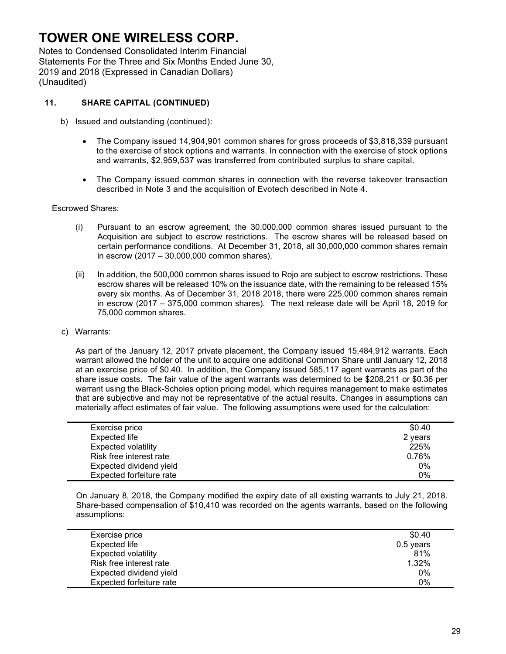Notes to Condensed Consolidated Interim Financial Statements For the Three and Six Months Ended June 30, 2019 and 2018 (Expressed in Canadian Dollars) (Unaudited)

### **11. SHARE CAPITAL (CONTINUED)**

- b) Issued and outstanding (continued):
	- The Company issued 14,904,901 common shares for gross proceeds of \$3,818,339 pursuant to the exercise of stock options and warrants. In connection with the exercise of stock options and warrants, \$2,959,537 was transferred from contributed surplus to share capital.
	- The Company issued common shares in connection with the reverse takeover transaction described in Note 3 and the acquisition of Evotech described in Note 4.

#### Escrowed Shares:

- (i) Pursuant to an escrow agreement, the 30,000,000 common shares issued pursuant to the Acquisition are subject to escrow restrictions. The escrow shares will be released based on certain performance conditions. At December 31, 2018, all 30,000,000 common shares remain in escrow (2017 – 30,000,000 common shares).
- (ii) In addition, the 500,000 common shares issued to Rojo are subject to escrow restrictions. These escrow shares will be released 10% on the issuance date, with the remaining to be released 15% every six months. As of December 31, 2018 2018, there were 225,000 common shares remain in escrow (2017 – 375,000 common shares). The next release date will be April 18, 2019 for 75,000 common shares.
- c) Warrants:

As part of the January 12, 2017 private placement, the Company issued 15,484,912 warrants. Each warrant allowed the holder of the unit to acquire one additional Common Share until January 12, 2018 at an exercise price of \$0.40. In addition, the Company issued 585,117 agent warrants as part of the share issue costs. The fair value of the agent warrants was determined to be \$208,211 or \$0.36 per warrant using the Black-Scholes option pricing model, which requires management to make estimates that are subjective and may not be representative of the actual results. Changes in assumptions can materially affect estimates of fair value. The following assumptions were used for the calculation:

| Exercise price             | \$0.40  |
|----------------------------|---------|
| Expected life              | 2 years |
| <b>Expected volatility</b> | 225%    |
| Risk free interest rate    | 0.76%   |
| Expected dividend yield    | 0%      |
| Expected forfeiture rate   | 0%      |

On January 8, 2018, the Company modified the expiry date of all existing warrants to July 21, 2018. Share-based compensation of \$10,410 was recorded on the agents warrants, based on the following assumptions:

| Exercise price             | \$0.40    |
|----------------------------|-----------|
| <b>Expected life</b>       | 0.5 years |
| <b>Expected volatility</b> | 81%       |
| Risk free interest rate    | 1.32%     |
| Expected dividend yield    | $0\%$     |
| Expected forfeiture rate   | 0%        |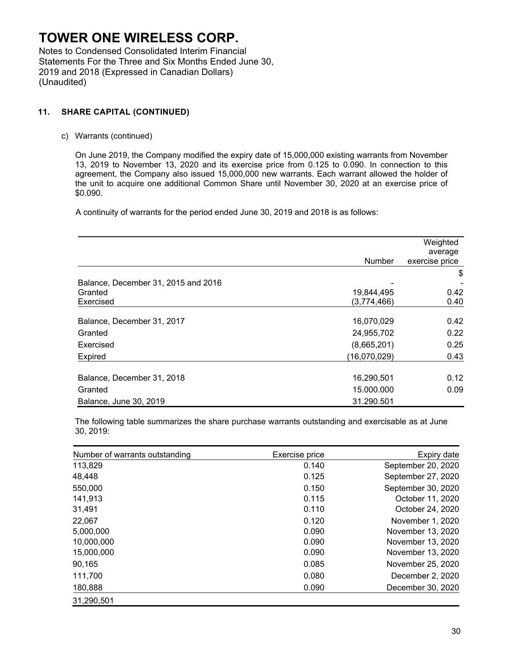Notes to Condensed Consolidated Interim Financial Statements For the Three and Six Months Ended June 30, 2019 and 2018 (Expressed in Canadian Dollars) (Unaudited)

### **11. SHARE CAPITAL (CONTINUED)**

c) Warrants (continued)

On June 2019, the Company modified the expiry date of 15,000,000 existing warrants from November 13, 2019 to November 13, 2020 and its exercise price from 0.125 to 0.090. In connection to this agreement, the Company also issued 15,000,000 new warrants. Each warrant allowed the holder of the unit to acquire one additional Common Share until November 30, 2020 at an exercise price of \$0.090.

A continuity of warrants for the period ended June 30, 2019 and 2018 is as follows:

|                                     | Number       | Weighted<br>average<br>exercise price |
|-------------------------------------|--------------|---------------------------------------|
|                                     |              | \$                                    |
| Balance, December 31, 2015 and 2016 |              |                                       |
| Granted                             | 19,844,495   | 0.42                                  |
| Exercised                           | (3,774,466)  | 0.40                                  |
| Balance, December 31, 2017          | 16,070,029   | 0.42                                  |
| Granted                             | 24,955,702   | 0.22                                  |
| Exercised                           | (8,665,201)  | 0.25                                  |
| <b>Expired</b>                      | (16,070,029) | 0.43                                  |
| Balance, December 31, 2018          | 16,290,501   | 0.12                                  |
| Granted                             | 15.000.000   | 0.09                                  |
| Balance, June 30, 2019              | 31.290.501   |                                       |

The following table summarizes the share purchase warrants outstanding and exercisable as at June 30, 2019:

| Number of warrants outstanding | Exercise price | Expiry date        |
|--------------------------------|----------------|--------------------|
| 113,829                        | 0.140          | September 20, 2020 |
| 48,448                         | 0.125          | September 27, 2020 |
| 550,000                        | 0.150          | September 30, 2020 |
| 141,913                        | 0.115          | October 11, 2020   |
| 31,491                         | 0.110          | October 24, 2020   |
| 22,067                         | 0.120          | November 1, 2020   |
| 5,000,000                      | 0.090          | November 13, 2020  |
| 10,000,000                     | 0.090          | November 13, 2020  |
| 15,000,000                     | 0.090          | November 13, 2020  |
| 90,165                         | 0.085          | November 25, 2020  |
| 111,700                        | 0.080          | December 2, 2020   |
| 180,888                        | 0.090          | December 30, 2020  |
| 31,290,501                     |                |                    |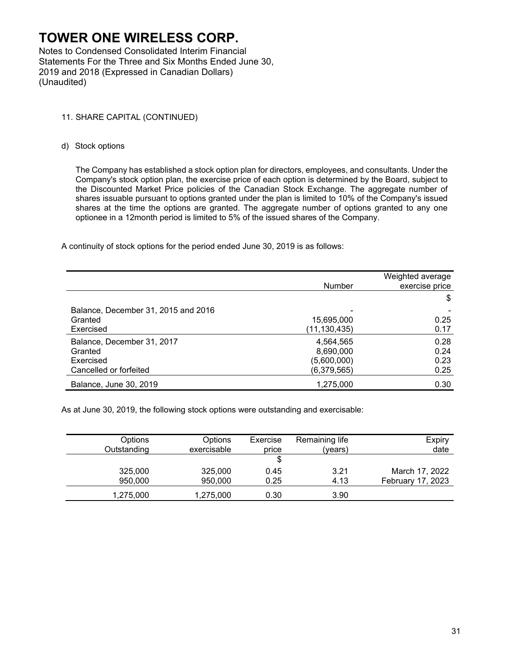Notes to Condensed Consolidated Interim Financial Statements For the Three and Six Months Ended June 30, 2019 and 2018 (Expressed in Canadian Dollars) (Unaudited)

### 11. SHARE CAPITAL (CONTINUED)

d) Stock options

The Company has established a stock option plan for directors, employees, and consultants. Under the Company's stock option plan, the exercise price of each option is determined by the Board, subject to the Discounted Market Price policies of the Canadian Stock Exchange. The aggregate number of shares issuable pursuant to options granted under the plan is limited to 10% of the Company's issued shares at the time the options are granted. The aggregate number of options granted to any one optionee in a 12month period is limited to 5% of the issued shares of the Company.

A continuity of stock options for the period ended June 30, 2019 is as follows:

|                                     | Number       | Weighted average<br>exercise price |
|-------------------------------------|--------------|------------------------------------|
|                                     |              | \$                                 |
| Balance, December 31, 2015 and 2016 |              |                                    |
| Granted                             | 15,695,000   | 0.25                               |
| Exercised                           | (11,130,435) | 0.17                               |
| Balance, December 31, 2017          | 4,564,565    | 0.28                               |
| Granted                             | 8,690,000    | 0.24                               |
| Exercised                           | (5,600,000)  | 0.23                               |
| Cancelled or forfeited              | (6,379,565)  | 0.25                               |
| Balance, June 30, 2019              | 1,275,000    | 0.30                               |

As at June 30, 2019, the following stock options were outstanding and exercisable:

| Options     | Options     | Exercise | Remaining life | Expiry            |
|-------------|-------------|----------|----------------|-------------------|
| Outstanding | exercisable | price    | (vears)        | date              |
|             |             |          |                |                   |
| 325,000     | 325,000     | 0.45     | 3.21           | March 17, 2022    |
| 950,000     | 950,000     | 0.25     | 4.13           | February 17, 2023 |
| 1,275,000   | 1,275,000   | 0.30     | 3.90           |                   |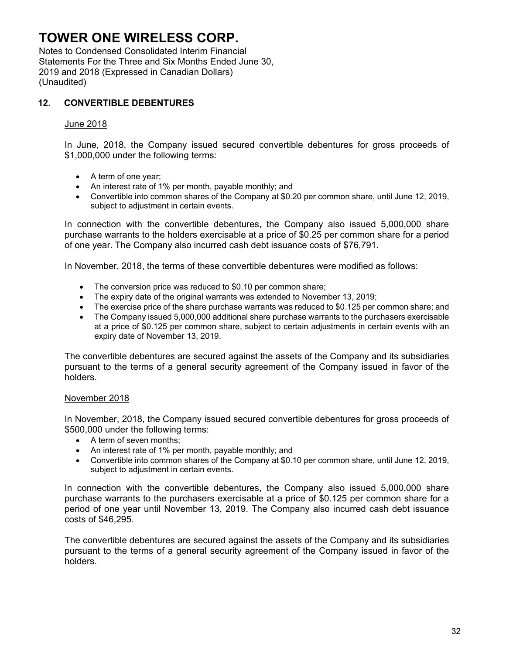Notes to Condensed Consolidated Interim Financial Statements For the Three and Six Months Ended June 30, 2019 and 2018 (Expressed in Canadian Dollars) (Unaudited)

### **12. CONVERTIBLE DEBENTURES**

### June 2018

In June, 2018, the Company issued secured convertible debentures for gross proceeds of \$1,000,000 under the following terms:

- A term of one year;
- An interest rate of 1% per month, payable monthly; and
- Convertible into common shares of the Company at \$0.20 per common share, until June 12, 2019, subject to adjustment in certain events.

In connection with the convertible debentures, the Company also issued 5,000,000 share purchase warrants to the holders exercisable at a price of \$0.25 per common share for a period of one year. The Company also incurred cash debt issuance costs of \$76,791.

In November, 2018, the terms of these convertible debentures were modified as follows:

- The conversion price was reduced to \$0.10 per common share;
- The expiry date of the original warrants was extended to November 13, 2019;
- The exercise price of the share purchase warrants was reduced to \$0.125 per common share; and
- The Company issued 5,000,000 additional share purchase warrants to the purchasers exercisable at a price of \$0.125 per common share, subject to certain adjustments in certain events with an expiry date of November 13, 2019.

The convertible debentures are secured against the assets of the Company and its subsidiaries pursuant to the terms of a general security agreement of the Company issued in favor of the holders.

### November 2018

In November, 2018, the Company issued secured convertible debentures for gross proceeds of \$500,000 under the following terms:

- A term of seven months;
- An interest rate of 1% per month, payable monthly; and
- Convertible into common shares of the Company at \$0.10 per common share, until June 12, 2019, subject to adjustment in certain events.

In connection with the convertible debentures, the Company also issued 5,000,000 share purchase warrants to the purchasers exercisable at a price of \$0.125 per common share for a period of one year until November 13, 2019. The Company also incurred cash debt issuance costs of \$46,295.

The convertible debentures are secured against the assets of the Company and its subsidiaries pursuant to the terms of a general security agreement of the Company issued in favor of the holders.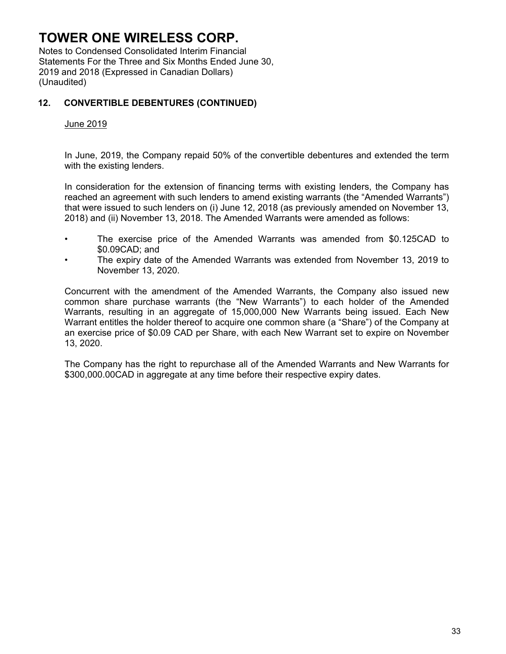Notes to Condensed Consolidated Interim Financial Statements For the Three and Six Months Ended June 30, 2019 and 2018 (Expressed in Canadian Dollars) (Unaudited)

### **12. CONVERTIBLE DEBENTURES (CONTINUED)**

### June 2019

In June, 2019, the Company repaid 50% of the convertible debentures and extended the term with the existing lenders.

In consideration for the extension of financing terms with existing lenders, the Company has reached an agreement with such lenders to amend existing warrants (the "Amended Warrants") that were issued to such lenders on (i) June 12, 2018 (as previously amended on November 13, 2018) and (ii) November 13, 2018. The Amended Warrants were amended as follows:

- The exercise price of the Amended Warrants was amended from \$0.125CAD to \$0.09CAD; and
- The expiry date of the Amended Warrants was extended from November 13, 2019 to November 13, 2020.

Concurrent with the amendment of the Amended Warrants, the Company also issued new common share purchase warrants (the "New Warrants") to each holder of the Amended Warrants, resulting in an aggregate of 15,000,000 New Warrants being issued. Each New Warrant entitles the holder thereof to acquire one common share (a "Share") of the Company at an exercise price of \$0.09 CAD per Share, with each New Warrant set to expire on November 13, 2020.

The Company has the right to repurchase all of the Amended Warrants and New Warrants for \$300,000.00CAD in aggregate at any time before their respective expiry dates.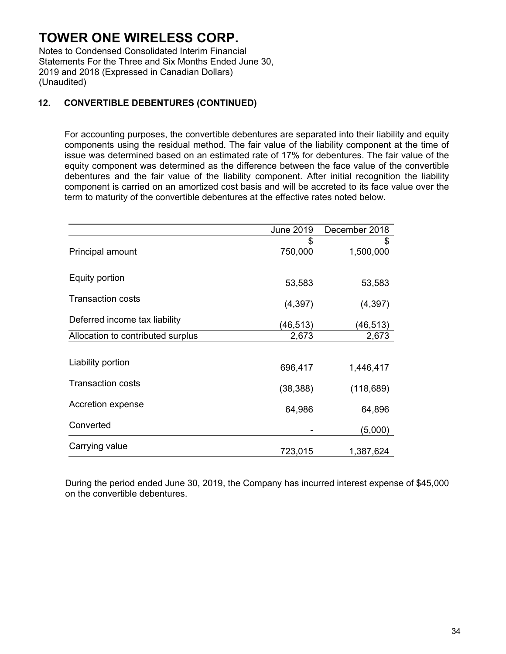Notes to Condensed Consolidated Interim Financial Statements For the Three and Six Months Ended June 30, 2019 and 2018 (Expressed in Canadian Dollars) (Unaudited)

### **12. CONVERTIBLE DEBENTURES (CONTINUED)**

For accounting purposes, the convertible debentures are separated into their liability and equity components using the residual method. The fair value of the liability component at the time of issue was determined based on an estimated rate of 17% for debentures. The fair value of the equity component was determined as the difference between the face value of the convertible debentures and the fair value of the liability component. After initial recognition the liability component is carried on an amortized cost basis and will be accreted to its face value over the term to maturity of the convertible debentures at the effective rates noted below.

|                                   | <b>June 2019</b> | December 2018 |
|-----------------------------------|------------------|---------------|
|                                   | S                | \$            |
| Principal amount                  | 750,000          | 1,500,000     |
|                                   |                  |               |
| Equity portion                    | 53,583           | 53,583        |
|                                   |                  |               |
| <b>Transaction costs</b>          | (4, 397)         | (4, 397)      |
| Deferred income tax liability     |                  |               |
|                                   | (46, 513)        | (46,513)      |
| Allocation to contributed surplus | 2,673            | 2,673         |
|                                   |                  |               |
| Liability portion                 | 696,417          | 1,446,417     |
|                                   |                  |               |
| <b>Transaction costs</b>          | (38, 388)        | (118, 689)    |
| Accretion expense                 |                  |               |
|                                   | 64,986           | 64,896        |
| Converted                         |                  | (5,000)       |
|                                   |                  |               |
| Carrying value                    |                  |               |
|                                   | 723,015          | 1,387,624     |

During the period ended June 30, 2019, the Company has incurred interest expense of \$45,000 on the convertible debentures.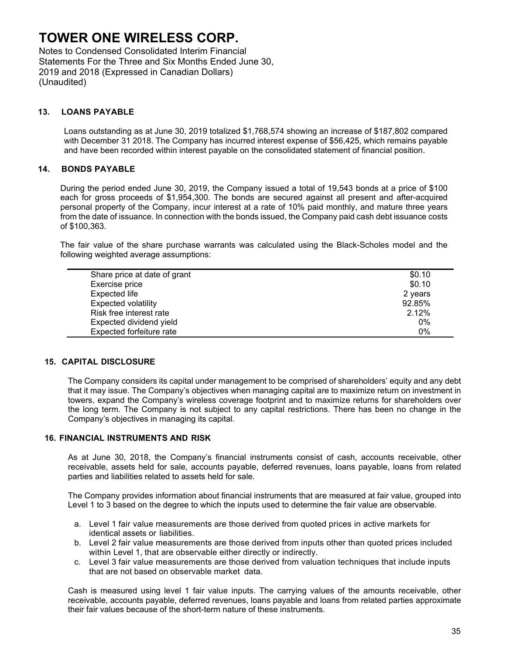Notes to Condensed Consolidated Interim Financial Statements For the Three and Six Months Ended June 30, 2019 and 2018 (Expressed in Canadian Dollars) (Unaudited)

### **13. LOANS PAYABLE**

Loans outstanding as at June 30, 2019 totalized \$1,768,574 showing an increase of \$187,802 compared with December 31 2018. The Company has incurred interest expense of \$56,425, which remains payable and have been recorded within interest payable on the consolidated statement of financial position.

### **14. BONDS PAYABLE**

During the period ended June 30, 2019, the Company issued a total of 19,543 bonds at a price of \$100 each for gross proceeds of \$1,954,300. The bonds are secured against all present and after-acquired personal property of the Company, incur interest at a rate of 10% paid monthly, and mature three years from the date of issuance. In connection with the bonds issued, the Company paid cash debt issuance costs of \$100,363.

The fair value of the share purchase warrants was calculated using the Black-Scholes model and the following weighted average assumptions:

| Share price at date of grant | \$0.10  |
|------------------------------|---------|
| Exercise price               | \$0.10  |
| Expected life                | 2 years |
| <b>Expected volatility</b>   | 92.85%  |
| Risk free interest rate      | 2.12%   |
| Expected dividend yield      | 0%      |
| Expected forfeiture rate     | 0%      |
|                              |         |

### **15. CAPITAL DISCLOSURE**

The Company considers its capital under management to be comprised of shareholders' equity and any debt that it may issue. The Company's objectives when managing capital are to maximize return on investment in towers, expand the Company's wireless coverage footprint and to maximize returns for shareholders over the long term. The Company is not subject to any capital restrictions. There has been no change in the Company's objectives in managing its capital.

### **16. FINANCIAL INSTRUMENTS AND RISK**

As at June 30, 2018, the Company's financial instruments consist of cash, accounts receivable, other receivable, assets held for sale, accounts payable, deferred revenues, loans payable, loans from related parties and liabilities related to assets held for sale.

The Company provides information about financial instruments that are measured at fair value, grouped into Level 1 to 3 based on the degree to which the inputs used to determine the fair value are observable.

- a. Level 1 fair value measurements are those derived from quoted prices in active markets for identical assets or liabilities.
- b. Level 2 fair value measurements are those derived from inputs other than quoted prices included within Level 1, that are observable either directly or indirectly.
- c. Level 3 fair value measurements are those derived from valuation techniques that include inputs that are not based on observable market data.

Cash is measured using level 1 fair value inputs. The carrying values of the amounts receivable, other receivable, accounts payable, deferred revenues, loans payable and loans from related parties approximate their fair values because of the short-term nature of these instruments.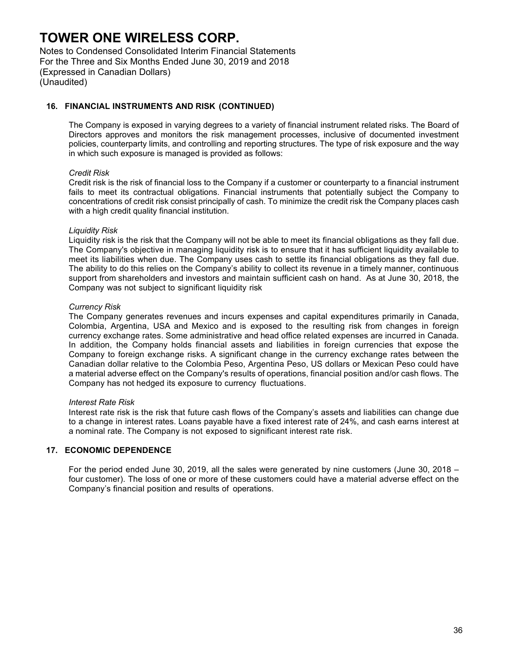Notes to Condensed Consolidated Interim Financial Statements For the Three and Six Months Ended June 30, 2019 and 2018 (Expressed in Canadian Dollars) (Unaudited)

### **16. FINANCIAL INSTRUMENTS AND RISK (CONTINUED)**

The Company is exposed in varying degrees to a variety of financial instrument related risks. The Board of Directors approves and monitors the risk management processes, inclusive of documented investment policies, counterparty limits, and controlling and reporting structures. The type of risk exposure and the way in which such exposure is managed is provided as follows:

#### *Credit Risk*

Credit risk is the risk of financial loss to the Company if a customer or counterparty to a financial instrument fails to meet its contractual obligations. Financial instruments that potentially subject the Company to concentrations of credit risk consist principally of cash. To minimize the credit risk the Company places cash with a high credit quality financial institution.

#### *Liquidity Risk*

Liquidity risk is the risk that the Company will not be able to meet its financial obligations as they fall due. The Company's objective in managing liquidity risk is to ensure that it has sufficient liquidity available to meet its liabilities when due. The Company uses cash to settle its financial obligations as they fall due. The ability to do this relies on the Company's ability to collect its revenue in a timely manner, continuous support from shareholders and investors and maintain sufficient cash on hand. As at June 30, 2018, the Company was not subject to significant liquidity risk

#### *Currency Risk*

The Company generates revenues and incurs expenses and capital expenditures primarily in Canada, Colombia, Argentina, USA and Mexico and is exposed to the resulting risk from changes in foreign currency exchange rates. Some administrative and head office related expenses are incurred in Canada. In addition, the Company holds financial assets and liabilities in foreign currencies that expose the Company to foreign exchange risks. A significant change in the currency exchange rates between the Canadian dollar relative to the Colombia Peso, Argentina Peso, US dollars or Mexican Peso could have a material adverse effect on the Company's results of operations, financial position and/or cash flows. The Company has not hedged its exposure to currency fluctuations.

#### *Interest Rate Risk*

Interest rate risk is the risk that future cash flows of the Company's assets and liabilities can change due to a change in interest rates. Loans payable have a fixed interest rate of 24%, and cash earns interest at a nominal rate. The Company is not exposed to significant interest rate risk.

### **17. ECONOMIC DEPENDENCE**

For the period ended June 30, 2019, all the sales were generated by nine customers (June 30, 2018 – four customer). The loss of one or more of these customers could have a material adverse effect on the Company's financial position and results of operations.